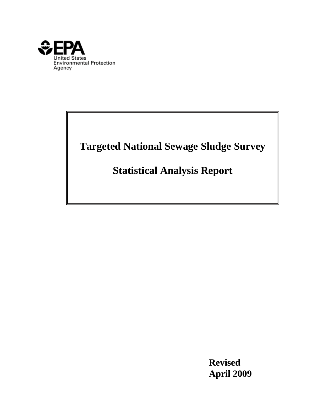<span id="page-0-0"></span>

# **Targeted National Sewage Sludge Survey**

# **Statistical Analysis Report**

 **Revised April 2009**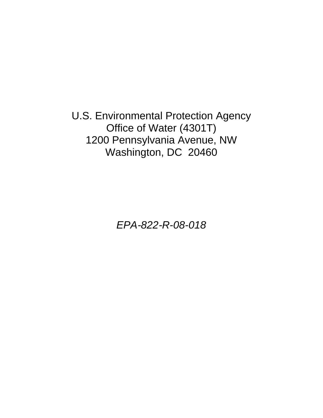U.S. Environmental Protection Agency Office of Water (4301T) 1200 Pennsylvania Avenue, NW Washington, DC 20460

*EPA-822-R-08-018*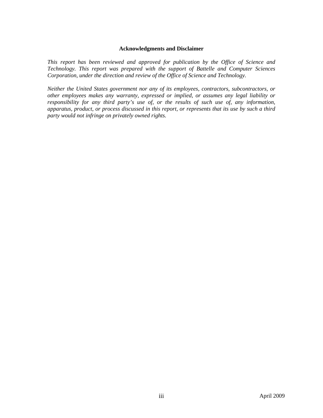#### **Acknowledgments and Disclaimer**

*This report has been reviewed and approved for publication by the Office of Science and Technology. This report was prepared with the support of Battelle and Computer Sciences Corporation, under the direction and review of the Office of Science and Technology.* 

*Neither the United States government nor any of its employees, contractors, subcontractors, or other employees makes any warranty, expressed or implied, or assumes any legal liability or responsibility for any third party's use of, or the results of such use of, any information, apparatus, product, or process discussed in this report, or represents that its use by such a third party would not infringe on privately owned rights.*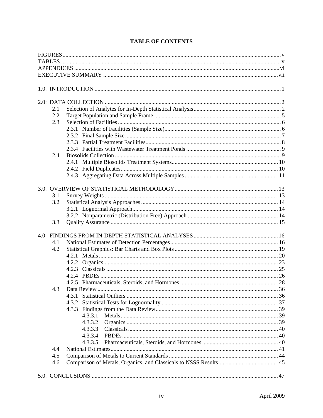| 2.1 |         |  |
|-----|---------|--|
| 2.2 |         |  |
| 2.3 |         |  |
|     |         |  |
|     |         |  |
|     |         |  |
|     |         |  |
| 2.4 |         |  |
|     |         |  |
|     |         |  |
|     |         |  |
|     |         |  |
|     |         |  |
| 3.1 |         |  |
| 3.2 |         |  |
|     |         |  |
|     |         |  |
| 3.3 |         |  |
|     |         |  |
|     |         |  |
| 4.1 |         |  |
| 4.2 |         |  |
|     |         |  |
|     |         |  |
|     |         |  |
|     |         |  |
|     |         |  |
| 4.3 |         |  |
|     | 4.3.1   |  |
|     |         |  |
|     |         |  |
|     | 4.3.3.1 |  |
|     | 4.3.3.2 |  |
|     |         |  |
|     | 4.3.3.3 |  |
|     | 4.3.3.4 |  |
|     | 4.3.3.5 |  |
| 4.4 |         |  |
| 4.5 |         |  |
| 4.6 |         |  |
|     |         |  |

# **TABLE OF CONTENTS**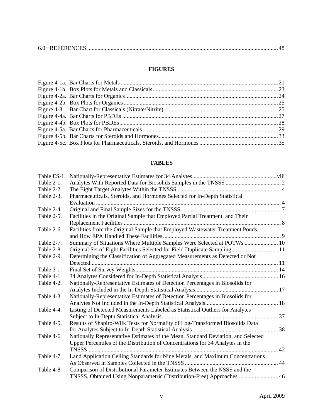|--|--|--|--|

## **FIGURES**

<span id="page-4-0"></span>

## **TABLES**

<span id="page-4-1"></span>

| Table ES-1. |                                                                                   |  |
|-------------|-----------------------------------------------------------------------------------|--|
| Table 2-1.  |                                                                                   |  |
| Table 2-2.  |                                                                                   |  |
| Table 2-3.  | Pharmaceuticals, Steroids, and Hormones Selected for In-Depth Statistical         |  |
|             |                                                                                   |  |
| Table 2-4.  |                                                                                   |  |
| Table 2-5.  | Facilities in the Original Sample that Employed Partial Treatment, and Their      |  |
|             |                                                                                   |  |
| Table 2-6.  | Facilities from the Original Sample that Employed Wastewater Treatment Ponds,     |  |
| Table 2-7.  | Summary of Situations Where Multiple Samples Were Selected at POTWs  10           |  |
| Table 2-8.  | Original Set of Eight Facilities Selected for Field Duplicate Sampling 11         |  |
| Table 2-9.  | Determining the Classification of Aggregated Measurements as Detected or Not      |  |
|             |                                                                                   |  |
| Table 3-1.  |                                                                                   |  |
| Table 4-1.  |                                                                                   |  |
| Table 4-2.  | Nationally-Representative Estimates of Detection Percentages in Biosolids for     |  |
|             |                                                                                   |  |
| Table 4-3.  | Nationally-Representative Estimates of Detection Percentages in Biosolids for     |  |
|             |                                                                                   |  |
| Table 4-4.  | Listing of Detected Measurements Labeled as Statistical Outliers for Analytes     |  |
|             |                                                                                   |  |
| Table 4-5.  | Results of Shapiro-Wilk Tests for Normality of Log-Transformed Biosolids Data     |  |
|             |                                                                                   |  |
| Table 4-6.  | Nationally Representative Estimates of the Mean, Standard Deviation, and Selected |  |
|             | Upper Percentiles of the Distribution of Concentrations for 34 Analytes in the    |  |
|             |                                                                                   |  |
| Table 4-7.  | Land Application Ceiling Standards for Nine Metals, and Maximum Concentrations    |  |
|             |                                                                                   |  |
| Table 4-8.  | Comparison of Distributional Parameter Estimates Between the NSSS and the         |  |
|             | TNSSS, Obtained Using Nonparametric (Distribution-Free) Approaches  46            |  |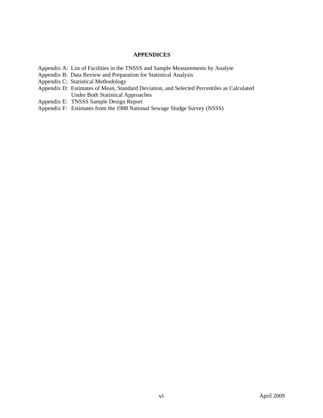#### **APPENDICES**

- <span id="page-5-0"></span>[Appendix A: List of Facilities in the TNSSS and Sample Measurements by Analyte](#page-0-0)
- [Appendix B: Data Review and Preparation for Statistical Analysis](#page-0-0)
- [Appendix C: Statistical Methodology](#page-0-0)
- [Appendix D: Estimates of Mean, Standard Deviation, and Selected Percentiles as Calculated](#page-0-0)  [Under Both Statistical Approaches](#page-0-0)
- Appendix E: TNSSS Sample Design Report
- Appendix F: Estimates from the 1988 National Sewage Sludge Survey (NSSS)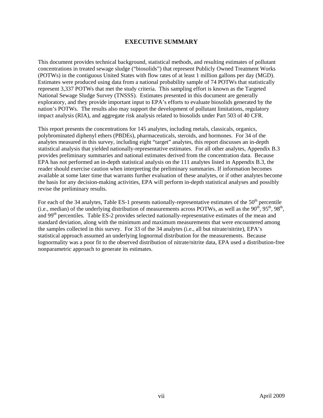## **EXECUTIVE SUMMARY**

<span id="page-6-0"></span>This document provides technical background, statistical methods, and resulting estimates of pollutant concentrations in treated sewage sludge ("biosolids") that represent Publicly Owned Treatment Works (POTWs) in the contiguous United States with flow rates of at least 1 million gallons per day (MGD). Estimates were produced using data from a national probability sample of 74 POTWs that statistically represent 3,337 POTWs that met the study criteria. This sampling effort is known as the Targeted National Sewage Sludge Survey (TNSSS). Estimates presented in this document are generally exploratory, and they provide important input to EPA's efforts to evaluate biosolids generated by the nation's POTWs. The results also may support the development of pollutant limitations, regulatory impact analysis (RIA), and aggregate risk analysis related to biosolids under Part 503 of 40 CFR.

This report presents the concentrations for 145 analytes, including metals, classicals, organics, polybrominated diphenyl ethers (PBDEs), pharmaceuticals, steroids, and hormones. For 34 of the analytes measured in this survey, including eight "target" analytes, this report discusses an in-depth statistical analysis that yielded nationally-representative estimates. For all other analytes, Appendix B.3 provides preliminary summaries and national estimates derived from the concentration data. Because EPA has not performed an in-depth statistical analysis on the 111 analytes listed in Appendix B.3, the reader should exercise caution when interpreting the preliminary summaries. If information becomes available at some later time that warrants further evaluation of these analytes, or if other analytes become the basis for any decision-making activities, EPA will perform in-depth statistical analyses and possibly revise the preliminary results.

For each of the 34 analytes, Table ES-1 presents nationally-representative estimates of the  $50<sup>th</sup>$  percentile (i.e., median) of the underlying distribution of measurements across POTWs, as well as the  $90<sup>th</sup>$ ,  $95<sup>th</sup>$ ,  $98<sup>th</sup>$ , and 99<sup>th</sup> percentiles. Table ES-2 provides selected nationally-representative estimates of the mean and standard deviation, along with the minimum and maximum measurements that were encountered among the samples collected in this survey. For 33 of the 34 analytes (i.e., all but nitrate/nitrite), EPA's statistical approach assumed an underlying lognormal distribution for the measurements. Because lognormality was a poor fit to the observed distribution of nitrate/nitrite data, EPA used a distribution-free nonparametric approach to generate its estimates.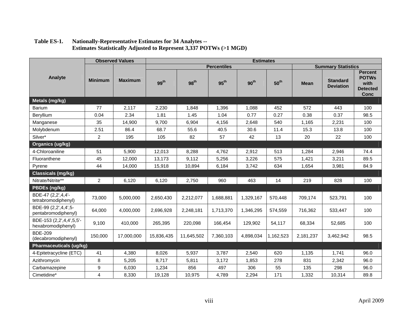<span id="page-7-0"></span>

|                                                | <b>Observed Values</b> |                | <b>Estimates</b> |                  |                    |                  |                  |             |                                     |                                                                          |
|------------------------------------------------|------------------------|----------------|------------------|------------------|--------------------|------------------|------------------|-------------|-------------------------------------|--------------------------------------------------------------------------|
|                                                |                        |                |                  |                  | <b>Percentiles</b> |                  |                  |             | <b>Summary Statistics</b>           |                                                                          |
| Analyte                                        | <b>Minimum</b>         | <b>Maximum</b> | 99 <sup>th</sup> | 98 <sup>th</sup> | $95^{\text{th}}$   | 90 <sup>th</sup> | 50 <sup>th</sup> | <b>Mean</b> | <b>Standard</b><br><b>Deviation</b> | <b>Percent</b><br><b>POTWs</b><br>with<br><b>Detected</b><br><b>Conc</b> |
| Metals (mg/kg)                                 |                        |                |                  |                  |                    |                  |                  |             |                                     |                                                                          |
| Barium                                         | 77                     | 2,117          | 2,230            | 1,848            | 1,396              | 1,088            | 452              | 572         | 443                                 | 100                                                                      |
| Beryllium                                      | 0.04                   | 2.34           | 1.81             | 1.45             | 1.04               | 0.77             | 0.27             | 0.38        | 0.37                                | 98.5                                                                     |
| Manganese                                      | 35                     | 14,900         | 9,700            | 6,904            | 4,156              | 2,648            | 540              | 1,165       | 2,231                               | 100                                                                      |
| Molybdenum                                     | 2.51                   | 86.4           | 68.7             | 55.6             | 40.5               | 30.6             | 11.4             | 15.3        | 13.8                                | 100                                                                      |
| Silver*                                        | $\overline{2}$         | 195            | 105              | 82               | 57                 | 42               | 13               | 20          | 22                                  | 100                                                                      |
| Organics (ug/kg)                               |                        |                |                  |                  |                    |                  |                  |             |                                     |                                                                          |
| 4-Chloroaniline                                | 51                     | 5,900          | 12,013           | 8,288            | 4,762              | 2,912            | 513              | 1,284       | 2,946                               | 74.4                                                                     |
| Fluoranthene                                   | 45                     | 12,000         | 13,173           | 9,112            | 5,256              | 3,226            | 575              | 1,421       | 3,211                               | 89.5                                                                     |
| Pyrene                                         | 44                     | 14,000         | 15,918           | 10,894           | 6,184              | 3,742            | 634              | 1,654       | 3,981                               | 84.9                                                                     |
| <b>Classicals (mg/kg)</b>                      |                        |                |                  |                  |                    |                  |                  |             |                                     |                                                                          |
| Nitrate/Nitrite**                              | $\overline{2}$         | 6,120          | 6,120            | 2,750            | 960                | 463              | 14               | 219         | 828                                 | 100                                                                      |
| PBDEs (ng/kg)                                  |                        |                |                  |                  |                    |                  |                  |             |                                     |                                                                          |
| BDE-47 (2,2',4,4'-<br>tetrabromodiphenyl)      | 73,000                 | 5,000,000      | 2,650,430        | 2,212,077        | 1,688,881          | 1,329,167        | 570,448          | 709,174     | 523,791                             | 100                                                                      |
| BDE-99 (2,2',4,4',5-<br>pentabromodiphenyl)    | 64,000                 | 4,000,000      | 2,696,928        | 2,248,181        | 1,713,370          | 1,346,295        | 574,559          | 716,362     | 533,447                             | 100                                                                      |
| BDE-153 (2,2',4,4',5,5'-<br>hexabromodiphenyl) | 9,100                  | 410,000        | 265,395          | 220,098          | 166,454            | 129,902          | 54,117           | 68,334      | 52,685                              | 100                                                                      |
| <b>BDE-209</b><br>(decabromodiphenyl)          | 150,000                | 17,000,000     | 15,836,435       | 11,645,502       | 7,360,103          | 4,898,034        | 1,162,523        | 2,181,237   | 3,462,942                           | 98.5                                                                     |
| <b>Pharmaceuticals (ug/kg)</b>                 |                        |                |                  |                  |                    |                  |                  |             |                                     |                                                                          |
| 4-Epitetracycline (ETC)                        | 41                     | 4,380          | 8,026            | 5,937            | 3,787              | 2,540            | 620              | 1,135       | 1,741                               | 96.0                                                                     |
| Azithromycin                                   | 8                      | 5,205          | 8,717            | 5,811            | 3,172              | 1,853            | 278              | 831         | 2,342                               | 96.0                                                                     |
| Carbamazepine                                  | 9                      | 6,030          | 1,234            | 856              | 497                | 306              | 55               | 135         | 298                                 | 96.0                                                                     |
| Cimetidine*                                    | 4                      | 8,330          | 19,128           | 10,975           | 4,789              | 2,294            | 171              | 1,332       | 10,314                              | 89.8                                                                     |

## **Table ES-1. Nationally-Representative Estimates for 34 Analytes -- Estimates Statistically Adjusted to Represent 3,337 POTWs (>1 MGD)**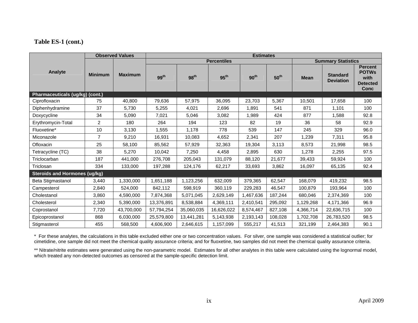## **Table ES-1 (cont.)**

|                                      | <b>Observed Values</b> |                | <b>Estimates</b>   |                  |                  |                  |                  |                           |                                     |                                                                   |
|--------------------------------------|------------------------|----------------|--------------------|------------------|------------------|------------------|------------------|---------------------------|-------------------------------------|-------------------------------------------------------------------|
|                                      |                        |                | <b>Percentiles</b> |                  |                  |                  |                  | <b>Summary Statistics</b> |                                     |                                                                   |
| Analyte                              | <b>Minimum</b>         | <b>Maximum</b> | 99 <sup>th</sup>   | 98 <sup>th</sup> | $95^{\text{th}}$ | $90^{\text{th}}$ | $50^{\text{th}}$ | <b>Mean</b>               | <b>Standard</b><br><b>Deviation</b> | <b>Percent</b><br><b>POTWs</b><br>with<br><b>Detected</b><br>Conc |
| Pharmaceuticals (ug/kg) (cont.)      |                        |                |                    |                  |                  |                  |                  |                           |                                     |                                                                   |
| Ciprofloxacin                        | 75                     | 40,800         | 79,636             | 57,975           | 36,095           | 23,703           | 5,367            | 10,501                    | 17,658                              | 100                                                               |
| Diphenhydramine                      | 37                     | 5,730          | 5,255              | 4,021            | 2,696            | 1,891            | 541              | 871                       | 1,101                               | 100                                                               |
| Doxycycline                          | 34                     | 5,090          | 7,021              | 5,046            | 3,082            | 1,989            | 424              | 877                       | 1,588                               | 92.8                                                              |
| Erythromycin-Total                   | 2                      | 180            | 264                | 194              | 123              | 82               | 19               | 36                        | 58                                  | 92.9                                                              |
| Fluoxetine*                          | 10                     | 3,130          | 1,555              | 1,178            | 778              | 539              | 147              | 245                       | 329                                 | 96.0                                                              |
| Miconazole                           | $\overline{7}$         | 9,210          | 16,931             | 10.083           | 4,652            | 2,341            | 207              | 1,239                     | 7,311                               | 95.8                                                              |
| Ofloxacin                            | 25                     | 58,100         | 85,562             | 57,929           | 32,363           | 19,304           | 3,113            | 8,573                     | 21,998                              | 98.5                                                              |
| Tetracycline (TC)                    | 38                     | 5,270          | 10,042             | 7,250            | 4,458            | 2,895            | 630              | 1,278                     | 2,255                               | 97.5                                                              |
| Triclocarban                         | 187                    | 441,000        | 276,708            | 205,043          | 131,079          | 88,120           | 21,677           | 39,433                    | 59,924                              | 100                                                               |
| Triclosan                            | 334                    | 133,000        | 197,288            | 124,176          | 62,217           | 33,693           | 3,862            | 16,097                    | 65,135                              | 92.4                                                              |
| <b>Steroids and Hormones (ug/kg)</b> |                        |                |                    |                  |                  |                  |                  |                           |                                     |                                                                   |
| Beta Stigmastanol                    | 3,440                  | 1,330,000      | 1,651,188          | 1,123,256        | 632,009          | 379,365          | 62,547           | 168,079                   | 419,232                             | 98.5                                                              |
| Campesterol                          | 2,840                  | 524,000        | 842,112            | 598,919          | 360,119          | 229,283          | 46,547           | 100,879                   | 193,964                             | 100                                                               |
| Cholestanol                          | 3,860                  | 4,590,000      | 7,874,368          | 5,071,045        | 2,629,149        | 1,467,636        | 187,244          | 680,046                   | 2,374,369                           | 100                                                               |
| Cholesterol                          | 2,340                  | 5,390,000      | 13,376,891         | 8,538,884        | 4,369,111        | 2,410,541        | 295,092          | 1,129,268                 | 4,171,366                           | 96.9                                                              |
| Coprostanol                          | 7,720                  | 43,700,000     | 57,794,254         | 35,060,035       | 16,626,022       | 8,574,467        | 827,108          | 4,366,714                 | 22,636,715                          | 100                                                               |
| Epicoprostanol                       | 868                    | 6,030,000      | 25,579,800         | 13,441,281       | 5,143,938        | 2,193,143        | 108,028          | 1,702,708                 | 26,783,520                          | 98.5                                                              |
| Stigmasterol                         | 455                    | 568,500        | 4,606,900          | 2,646,615        | 1,157,099        | 555,217          | 41,513           | 321,199                   | 2,464,383                           | 90.1                                                              |

\* For these analytes, the calculations in this table excluded either one or two concentration values. For silver, one sample was considered a statistical outlier; for cimetidine, one sample did not meet the chemical quality assurance criteria; and for fluoxetine, two samples did not meet the chemical quality assurance criteria.

\*\* Nitrate/nitrite estimates were generated using the non-parametric model. Estimates for all other analytes in this table were calculated using the lognormal model, which treated any non-detected outcomes as censored at the sample-specific detection limit.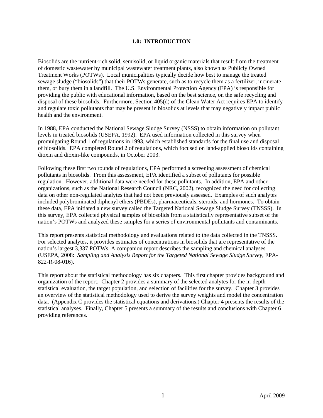#### **1.0: INTRODUCTION**

<span id="page-10-0"></span>Biosolids are the nutrient-rich solid, semisolid, or liquid organic materials that result from the treatment of domestic wastewater by municipal wastewater treatment plants, also known as Publicly Owned Treatment Works (POTWs). Local municipalities typically decide how best to manage the treated sewage sludge ("biosolids") that their POTWs generate, such as to recycle them as a fertilizer, incinerate them, or bury them in a landfill. The U.S. Environmental Protection Agency (EPA) is responsible for providing the public with educational information, based on the best science, on the safe recycling and disposal of these biosolids. Furthermore, Section 405(d) of the Clean Water Act requires EPA to identify and regulate toxic pollutants that may be present in biosolids at levels that may negatively impact public health and the environment.

In 1988, EPA conducted the National Sewage Sludge Survey (NSSS) to obtain information on pollutant levels in treated biosolids (USEPA, 1992). EPA used information collected in this survey when promulgating Round 1 of regulations in 1993, which established standards for the final use and disposal of biosolids. EPA completed Round 2 of regulations, which focused on land-applied biosolids containing dioxin and dioxin-like compounds, in October 2003.

Following these first two rounds of regulations, EPA performed a screening assessment of chemical pollutants in biosolids. From this assessment, EPA identified a subset of pollutants for possible regulation. However, additional data were needed for these pollutants. In addition, EPA and other organizations, such as the National Research Council (NRC, 2002), recognized the need for collecting data on other non-regulated analytes that had not been previously assessed. Examples of such analytes included polybrominated diphenyl ethers (PBDEs), pharmaceuticals, steroids, and hormones. To obtain these data, EPA initiated a new survey called the Targeted National Sewage Sludge Survey (TNSSS). In this survey, EPA collected physical samples of biosolids from a statistically representative subset of the nation's POTWs and analyzed these samples for a series of environmental pollutants and contaminants.

This report presents statistical methodology and evaluations related to the data collected in the TNSSS. For selected analytes, it provides estimates of concentrations in biosolids that are representative of the nation's largest 3,337 POTWs. A companion report describes the sampling and chemical analyses (USEPA, 2008: *Sampling and Analysis Report for the Targeted National Sewage Sludge Survey*, EPA-822-R-08-016).

This report about the statistical methodology has six chapters. This first chapter provides background and organization of the report. Chapter 2 provides a summary of the selected analytes for the in-depth statistical evaluation, the target population, and selection of facilities for the survey. Chapter 3 provides an overview of the statistical methodology used to derive the survey weights and model the concentration data. (Appendix C provides the statistical equations and derivations.) Chapter 4 presents the results of the statistical analyses. Finally, Chapter 5 presents a summary of the results and conclusions with Chapter 6 providing references.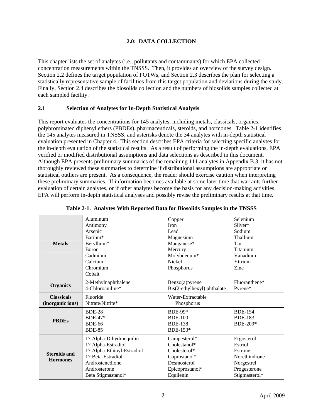## **2.0: DATA COLLECTION**

<span id="page-11-0"></span>This chapter lists the set of analytes (i.e., pollutants and contaminants) for which EPA collected concentration measurements within the TNSSS. Then, it provides an overview of the survey design. Section 2.2 defines the target population of POTWs; and Section 2.3 describes the plan for selecting a statistically representative sample of facilities from this target population and deviations during the study. Finally, Section 2.4 describes the biosolids collection and the numbers of biosolids samples collected at each sampled facility.

#### <span id="page-11-1"></span>**2.1 Selection of Analytes for In-Depth Statistical Analysis**

This report evaluates the concentrations for 145 analytes, including metals, classicals, organics, polybrominated diphenyl ethers (PBDEs), pharmaceuticals, steroids, and hormones. Table 2-1 identifies the 145 analytes measured in TNSSS, and asterisks denote the 34 analytes with in-depth statistical evaluation presented in Chapter 4. This section describes EPA criteria for selecting specific analytes for the in-depth evaluation of the statistical results. As a result of performing the in-depth evaluations, EPA verified or modified distributional assumptions and data selections as described in this document. Although EPA presents preliminary summaries of the remaining 111 analytes in Appendix B.3, it has not thoroughly reviewed these summaries to determine if distributional assumptions are appropriate or statistical outliers are present. As a consequence, the reader should exercise caution when interpreting these preliminary summaries. If information becomes available at some later time that warrants further evaluation of certain analytes, or if other analytes become the basis for any decision-making activities, EPA will perform in-depth statistical analyses and possibly revise the preliminary results at that time.

<span id="page-11-2"></span>

|                                        | Aluminum                                                                                                                                                  | Copper                                                                                                      | Selenium                                                                                         |
|----------------------------------------|-----------------------------------------------------------------------------------------------------------------------------------------------------------|-------------------------------------------------------------------------------------------------------------|--------------------------------------------------------------------------------------------------|
|                                        | Antimony                                                                                                                                                  | <b>Iron</b>                                                                                                 | Silver*                                                                                          |
|                                        | Arsenic                                                                                                                                                   | Lead                                                                                                        | Sodium                                                                                           |
|                                        | Barium*                                                                                                                                                   | Magnesium                                                                                                   | Thallium                                                                                         |
| <b>Metals</b>                          | Beryllium*<br><b>Boron</b><br>Cadmium<br>Calcium<br>Chromium<br>Cobalt                                                                                    | Manganese*<br>Mercury<br>Molybdenum*<br><b>Nickel</b><br>Phosphorus                                         | Tin<br>Titanium<br>Vanadium<br>Yttrium<br>Zinc                                                   |
| <b>Organics</b>                        | 2-Methylnaphthalene                                                                                                                                       | Benzo(a)pyrene                                                                                              | Fluoranthene*                                                                                    |
|                                        | 4-Chloroaniline*                                                                                                                                          | Bis(2-ethylhexyl) phthalate                                                                                 | Pyrene*                                                                                          |
| <b>Classicals</b>                      | Fluoride                                                                                                                                                  | Water-Extractable                                                                                           |                                                                                                  |
| (inorganic ions)                       | Nitrate/Nitrite*                                                                                                                                          | Phosphorus                                                                                                  |                                                                                                  |
| <b>PBDEs</b>                           | <b>BDE-28</b><br>$BDE-47*$<br><b>BDE-66</b><br><b>BDE-85</b>                                                                                              | <b>BDE-99*</b><br><b>BDE-100</b><br><b>BDE-138</b><br>BDE-153 $*$                                           | <b>BDE-154</b><br><b>BDE-183</b><br>BDE-209*                                                     |
| <b>Steroids and</b><br><b>Hormones</b> | 17 Alpha-Dihydroequilin<br>17 Alpha-Estradiol<br>17 Alpha-Ethinyl-Estradiol<br>17 Beta-Estradiol<br>Androstenedione<br>Androsterone<br>Beta Stigmastanol* | Campesterol*<br>Cholestanol*<br>Cholesterol*<br>Coprostanol*<br>Desmosterol<br>Epicoprostanol*<br>Equilenin | Ergosterol<br>Estriol<br>Estrone<br>Norethindrone<br>Norgestrel<br>Progesterone<br>Stigmasterol* |

**Table 2-1. Analytes With Reported Data for Biosolids Samples in the TNSSS**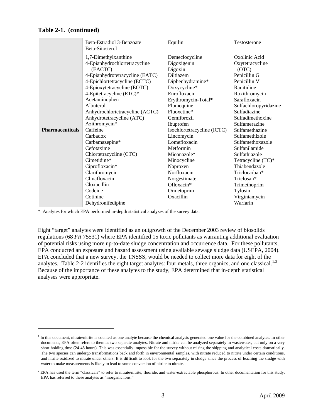#### **Table 2-1. (continued)**

 $\overline{a}$ 

|                        | Beta-Estradiol 3-Benzoate<br>Beta-Sitosterol                                                                                                                                                                                                                                                                                                                                                                                                                                                                | Equilin                                                                                                                                                                                                                                                                                                                                                                               | Testosterone                                                                                                                                                                                                                                                                                                                                                                                                       |
|------------------------|-------------------------------------------------------------------------------------------------------------------------------------------------------------------------------------------------------------------------------------------------------------------------------------------------------------------------------------------------------------------------------------------------------------------------------------------------------------------------------------------------------------|---------------------------------------------------------------------------------------------------------------------------------------------------------------------------------------------------------------------------------------------------------------------------------------------------------------------------------------------------------------------------------------|--------------------------------------------------------------------------------------------------------------------------------------------------------------------------------------------------------------------------------------------------------------------------------------------------------------------------------------------------------------------------------------------------------------------|
| <b>Pharmaceuticals</b> | 1,7-Dimethylxanthine<br>4-Epianhydrochlortetracycline<br>(EACTC)<br>4-Epianhydrotetracycline (EATC)<br>4-Epichlortetracycline (ECTC)<br>4-Epioxytetracycline (EOTC)<br>4-Epitetracycline (ETC)*<br>Acetaminophen<br>Albuterol<br>Anhydrochlortetracycline (ACTC)<br>Anhydrotetracycline (ATC)<br>Azithromycin*<br>Caffeine<br>Carbadox<br>Carbamazepine*<br>Cefotaxime<br>Chlortetracycline (CTC)<br>Cimetidine*<br>Ciprofloxacin*<br>Clarithromycin<br>Clinafloxacin<br>Cloxacillin<br>Codeine<br>Cotinine | Demeclocycline<br>Digoxigenin<br>Digoxin<br>Diltiazem<br>Diphenhydramine*<br>Doxycycline*<br>Enrofloxacin<br>Erythromycin-Total*<br>Flumequine<br>Fluoxetine*<br>Gemfibrozil<br>Ibuprofen<br>Isochlortetracycline (ICTC)<br>Lincomycin<br>Lomefloxacin<br>Metformin<br>Miconazole*<br>Minocycline<br>Naproxen<br>Norfloxacin<br>Norgestimate<br>Ofloxacin*<br>Ormetoprim<br>Oxacillin | Oxolinic Acid<br>Oxytetracycline<br>(OTC)<br>Penicillin G<br>Penicillin V<br>Ranitidine<br>Roxithromycin<br>Sarafloxacin<br>Sulfachloropyridazine<br>Sulfadiazine<br>Sulfadimethoxine<br>Sulfamerazine<br>Sulfamethazine<br>Sulfamethizole<br>Sulfamethoxazole<br>Sulfanilamide<br>Sulfathiazole<br>Tetracycline (TC)*<br>Thiabendazole<br>Triclocarban*<br>Triclosan*<br>Trimethoprim<br>Tylosin<br>Virginiamycin |
|                        | Dehydronifedipine                                                                                                                                                                                                                                                                                                                                                                                                                                                                                           |                                                                                                                                                                                                                                                                                                                                                                                       | Warfarin                                                                                                                                                                                                                                                                                                                                                                                                           |

\* Analytes for which EPA performed in-depth statistical analyses of the survey data.

Eight "target" analytes were identified as an outgrowth of the December 2003 review of biosolids regulations (68 *FR* 75531) where EPA identified 15 toxic pollutants as warranting additional evaluation of potential risks using more up-to-date sludge concentration and occurrence data. For these pollutants, EPA conducted an exposure and hazard assessment using available sewage sludge data (USEPA, 2004). EPA concluded that a new survey, the TNSSS, would be needed to collect more data for eight of the analytes. Table 2-2 identifies the eight target analytes: four metals, three organics, and one classical.<sup>[1,](#page-12-0)[2](#page-12-1)</sup> Because of the importance of these analytes to the study, EPA determined that in-depth statistical analyses were appropriate.

<span id="page-12-0"></span><sup>&</sup>lt;sup>1</sup> In this document, nitrate/nitrite is counted as one analyte because the chemical analysis generated one value for the combined analytes. In other documents, EPA often refers to them as two separate analytes. Nitrate and nitrite can be analyzed separately in wastewater, but only on a very short holding time (24-48 hours). This was essentially impossible for the survey without raising the shipping and analytical costs dramatically. The two species can undergo transformations back and forth in environmental samples, with nitrate reduced to nitrite under certain conditions, and nitrite oxidized to nitrate under others. It is difficult to look for the two separately in sludge since the process of leaching the sludge with water to make measurements is likely to lead to some conversion of nitrite to nitrate.

<span id="page-12-1"></span> $^2$  EPA has used the term "classicals" to refer to nitrate/nitrite, fluoride, and water-extractable phosphorous. In other documentation for this study, EPA has referred to these analytes as "inorganic ions."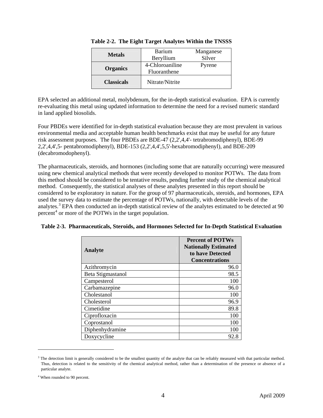| <b>Metals</b>     | <b>Barium</b>   | Manganese |
|-------------------|-----------------|-----------|
|                   | Beryllium       | Silver    |
|                   | 4-Chloroaniline | Pyrene    |
| <b>Organics</b>   | Fluoranthene    |           |
| <b>Classicals</b> | Nitrate/Nitrite |           |

|  |  | Table 2-2. The Eight Target Analytes Within the TNSSS |  |  |
|--|--|-------------------------------------------------------|--|--|
|--|--|-------------------------------------------------------|--|--|

<span id="page-13-0"></span>EPA selected an additional metal, molybdenum, for the in-depth statistical evaluation. EPA is currently re-evaluating this metal using updated information to determine the need for a revised numeric standard in land applied biosolids.

Four PBDEs were identified for in-depth statistical evaluation because they are most prevalent in various environmental media and acceptable human health benchmarks exist that may be useful for any future risk assessment purposes. The four PBDEs are BDE-47 (2,2',4,4'- tetrabromodiphenyl), BDE-99 2,2',4,4',5- pentabromodiphenyl), BDE-153 (2,2',4,4',5,5'-hexabromodiphenyl), and BDE-209 (decabromodophenyl).

The pharmaceuticals, steroids, and hormones (including some that are naturally occurring) were measured using new chemical analytical methods that were recently developed to monitor POTWs. The data from this method should be considered to be tentative results, pending further study of the chemical analytical method. Consequently, the statistical analyses of these analytes presented in this report should be considered to be exploratory in nature. For the group of 97 pharmaceuticals, steroids, and hormones, EPA used the survey data to estimate the percentage of POTWs, nationally, with detectable levels of the analytes.<sup>[3](#page-13-2)</sup> EPA then conducted an in-depth statistical review of the analytes estimated to be detected at 90 percent<sup>[4](#page-13-3)</sup> or more of the POTWs in the target population.

<span id="page-13-1"></span>

| Table 2-3. Pharmaceuticals, Steroids, and Hormones Selected for In-Depth Statistical Evaluation |  |  |  |  |  |  |  |
|-------------------------------------------------------------------------------------------------|--|--|--|--|--|--|--|
|-------------------------------------------------------------------------------------------------|--|--|--|--|--|--|--|

| <b>Analyte</b>    | <b>Percent of POTWs</b><br><b>Nationally Estimated</b><br>to have Detected<br><b>Concentrations</b> |
|-------------------|-----------------------------------------------------------------------------------------------------|
| Azithromycin      | 96.0                                                                                                |
| Beta Stigmastanol | 98.5                                                                                                |
| Campesterol       | 100                                                                                                 |
| Carbamazepine     | 96.0                                                                                                |
| Cholestanol       | 100                                                                                                 |
| Cholesterol       | 96.9                                                                                                |
| Cimetidine        | 89.8                                                                                                |
| Ciprofloxacin     | 100                                                                                                 |
| Coprostanol       | 100                                                                                                 |
| Diphenhydramine   | 100                                                                                                 |
| Doxycycline       | 92.8                                                                                                |

<span id="page-13-2"></span> $3$  The detection limit is generally considered to be the smallest quantity of the analyte that can be reliably measured with that particular method. Thus, detection is related to the sensitivity of the chemical analytical method, rather than a determination of the presence or absence of a particular analyte.

 $\overline{a}$ 

<span id="page-13-3"></span><sup>&</sup>lt;sup>4</sup> When rounded to 90 percent.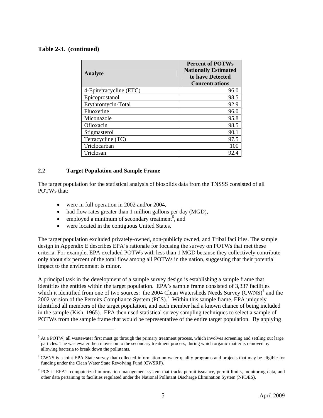## **Table 2-3. (continued)**

 $\overline{a}$ 

| <b>Analyte</b>          | <b>Percent of POTWs</b><br><b>Nationally Estimated</b><br>to have Detected<br><b>Concentrations</b> |
|-------------------------|-----------------------------------------------------------------------------------------------------|
| 4-Epitetracycline (ETC) | 96.0                                                                                                |
| Epicoprostanol          | 98.5                                                                                                |
| Erythromycin-Total      | 92.9                                                                                                |
| Fluoxetine              | 96.0                                                                                                |
| Miconazole              | 95.8                                                                                                |
| Ofloxacin               | 98.5                                                                                                |
| Stigmasterol            | 90.1                                                                                                |
| Tetracycline (TC)       | 97.5                                                                                                |
| Triclocarban            | 100                                                                                                 |
| Triclosan               | 92.4                                                                                                |

#### <span id="page-14-0"></span>**2.2 Target Population and Sample Frame**

The target population for the statistical analysis of biosolids data from the TNSSS consisted of all POTWs that:

- were in full operation in 2002 and/or 2004,
- had flow rates greater than 1 million gallons per day (MGD),
- $\bullet$  employed a minimum of secondary treatment<sup>[5](#page-14-1)</sup>, and
- were located in the contiguous United States.

The target population excluded privately-owned, non-publicly owned, and Tribal facilities. The sample design in Appendix E describes EPA's rationale for focusing the survey on POTWs that met these criteria. For example, EPA excluded POTWs with less than 1 MGD because they collectively contribute only about six percent of the total flow among all POTWs in the nation, suggesting that their potential impact to the environment is minor.

A principal task in the development of a sample survey design is establishing a sample frame that identifies the entities within the target population. EPA's sample frame consisted of 3,337 facilities which it identified from one of two sources: the 2004 Clean Watersheds Needs Survey (CWNS)<sup>[6](#page-14-2)</sup> and the 2002 version of the Permits Compliance System  $(PCS)$ .<sup>[7](#page-14-3)</sup> Within this sample frame, EPA uniquely identified all members of the target population, and each member had a known chance of being included in the sample (Kish, 1965). EPA then used statistical survey sampling techniques to select a sample of POTWs from the sample frame that would be representative of the entire target population. By applying

<span id="page-14-1"></span> $<sup>5</sup>$  At a POTW, all wastewater first must go through the primary treatment process, which involves screening and settling out large</sup> particles. The wastewater then moves on to the secondary treatment process, during which organic matter is removed by allowing bacteria to break down the pollutants.

<span id="page-14-2"></span><sup>6</sup> CWNS is a joint EPA-State survey that collected information on water quality programs and projects that may be eligible for funding under the Clean Water State Revolving Fund (CWSRF).

<span id="page-14-3"></span> $7$  PCS is EPA's computerized information management system that tracks permit issuance, permit limits, monitoring data, and other data pertaining to facilities regulated under the National Pollutant Discharge Elimination System (NPDES).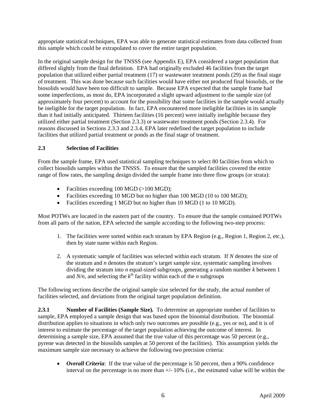appropriate statistical techniques, EPA was able to generate statistical estimates from data collected from this sample which could be extrapolated to cover the entire target population.

In the original sample design for the TNSSS (see Appendix E), EPA considered a target population that differed slightly from the final definition. EPA had originally excluded 46 facilities from the target population that utilized either partial treatment (17) or wastewater treatment ponds (29) as the final stage of treatment. This was done because such facilities would have either not produced final biosolids, or the biosolids would have been too difficult to sample. Because EPA expected that the sample frame had some imperfections, as most do, EPA incorporated a slight upward adjustment to the sample size (of approximately four percent) to account for the possibility that some facilities in the sample would actually be ineligible for the target population. In fact, EPA encountered more ineligible facilities in its sample than it had initially anticipated. Thirteen facilities (16 percent) were initially ineligible because they utilized either partial treatment (Section 2.3.3) or wastewater treatment ponds (Section 2.3.4). For reasons discussed in Sections 2.3.3 and 2.3.4, EPA later redefined the target population to include facilities that utilized partial treatment or ponds as the final stage of treatment.

## <span id="page-15-0"></span>**2.3 Selection of Facilities**

From the sample frame, EPA used statistical sampling techniques to select 80 facilities from which to collect biosolids samples within the TNSSS. To ensure that the sampled facilities covered the entire range of flow rates, the sampling design divided the sample frame into three flow groups (or strata):

- Facilities exceeding 100 MGD (>100 MGD);
- Facilities exceeding 10 MGD but no higher than 100 MGD (10 to 100 MGD);
- Facilities exceeding 1 MGD but no higher than 10 MGD (1 to 10 MGD).

Most POTWs are located in the eastern part of the country. To ensure that the sample contained POTWs from all parts of the nation, EPA selected the sample according to the following two-step process:

- 1. The facilities were sorted within each stratum by EPA Region (e.g., Region 1, Region 2, etc.), then by state name within each Region.
- 2. A systematic sample of facilities was selected within each stratum. If *N* denotes the size of the stratum and *n* denotes the stratum's target sample size, systematic sampling involves dividing the stratum into *n* equal-sized subgroups, generating a random number *k* between 1 and  $N/n$ , and selecting the  $k^{\text{th}}$  facility within each of the *n* subgroups

The following sections describe the original sample size selected for the study, the actual number of facilities selected, and deviations from the original target population definition.

<span id="page-15-1"></span>**2.3.1 Number of Facilities (Sample Size).** To determine an appropriate number of facilities to sample, EPA employed a sample design that was based upon the binomial distribution. The binomial distribution applies to situations in which only two outcomes are possible (e.g., yes or no), and it is of interest to estimate the percentage of the target population achieving the outcome of interest. In determining a sample size, EPA assumed that the true value of this percentage was 50 percent (e.g., pyrene was detected in the biosolids samples at 50 percent of the facilities). This assumption yields the maximum sample size necessary to achieve the following two precision criteria:

• *Overall Criteria*: If the true value of the percentage is 50 percent, then a 90% confidence interval on the percentage is no more than  $+/- 10\%$  (i.e., the estimated value will be within the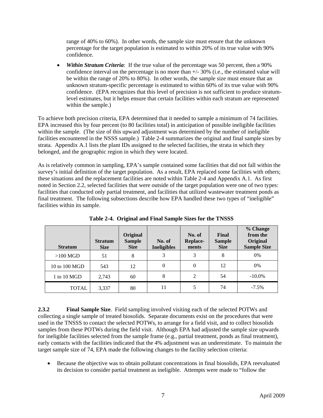range of 40% to 60%). In other words, the sample size must ensure that the unknown percentage for the target population is estimated to within 20% of its true value with 90% confidence.

• Within Stratum Criteria: If the true value of the percentage was 50 percent, then a 90% confidence interval on the percentage is no more than +/- 30% (i.e., the estimated value will be within the range of 20% to 80%). In other words, the sample size must ensure that an unknown stratum-specific percentage is estimated to within 60% of its true value with 90% confidence. (EPA recognizes that this level of precision is not sufficient to produce stratumlevel estimates, but it helps ensure that certain facilities within each stratum are represented within the sample.)

To achieve both precision criteria, EPA determined that it needed to sample a minimum of 74 facilities. EPA increased this by four percent (to 80 facilities total) in anticipation of possible ineligible facilities within the sample. (The size of this upward adjustment was determined by the number of ineligible facilities encountered in the NSSS sample.) Table 2-4 summarizes the original and final sample sizes by strata. Appendix A.1 lists the plant IDs assigned to the selected facilities, the strata in which they belonged, and the geographic region in which they were located.

As is relatively common in sampling, EPA's sample contained some facilities that did not fall within the survey's initial definition of the target population. As a result, EPA replaced some facilities with others; these situations and the replacement facilities are noted within Table 2-4 and Appendix A.1. As first noted in Section 2.2, selected facilities that were outside of the target population were one of two types: facilities that conducted only partial treatment, and facilities that utilized wastewater treatment ponds as final treatment. The following subsections describe how EPA handled these two types of "ineligible" facilities within its sample.

<span id="page-16-1"></span>

| <b>Stratum</b> | <b>Stratum</b><br><b>Size</b> | Original<br><b>Sample</b><br><b>Size</b> | No. of<br><b>Ineligibles</b> | No. of<br>Replace-<br>ments | Final<br><b>Sample</b><br><b>Size</b> | % Change<br>from the<br>Original<br><b>Sample Size</b> |
|----------------|-------------------------------|------------------------------------------|------------------------------|-----------------------------|---------------------------------------|--------------------------------------------------------|
| $>100$ MGD     | 51                            | 8                                        | 3                            | 3                           | 8                                     | 0%                                                     |
| 10 to 100 MGD  | 543                           | 12                                       | $\theta$                     | 0                           | 12                                    | 0%                                                     |
| 1 to 10 MGD    | 2,743                         | 60                                       | 8                            | 2                           | 54                                    | $-10.0\%$                                              |
| <b>TOTAL</b>   | 3,337                         | 80                                       | 11                           | 5                           | 74                                    | $-7.5\%$                                               |

**Table 2-4. Original and Final Sample Sizes for the TNSSS** 

<span id="page-16-0"></span>**2.3.2 Final Sample Size**. Field sampling involved visiting each of the selected POTWs and collecting a single sample of treated biosolids. Separate documents exist on the procedures that were used in the TNSSS to contact the selected POTWs, to arrange for a field visit, and to collect biosolids samples from these POTWs during the field visit. Although EPA had adjusted the sample size upwards for ineligible facilities selected from the sample frame (e.g., partial treatment, ponds as final treatment), early contacts with the facilities indicated that the 4% adjustment was an underestimate. To maintain the target sample size of 74, EPA made the following changes to the facility selection criteria:

 Because the objective was to obtain pollutant concentrations in final biosolids, EPA reevaluated its decision to consider partial treatment as ineligible. Attempts were made to "follow the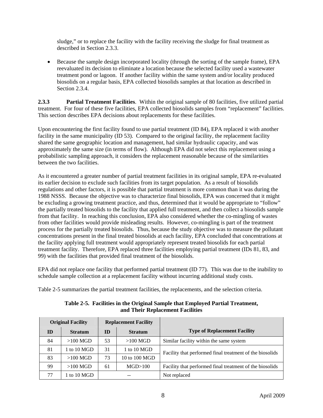sludge," or to replace the facility with the facility receiving the sludge for final treatment as described in Section 2.3.3.

 Because the sample design incorporated locality (through the sorting of the sample frame), EPA reevaluated its decision to eliminate a location because the selected facility used a wastewater treatment pond or lagoon. If another facility within the same system and/or locality produced biosolids on a regular basis, EPA collected biosolids samples at that location as described in Section 2.3.4.

<span id="page-17-0"></span>**2.3.3 Partial Treatment Facilities**. Within the original sample of 80 facilities, five utilized partial treatment. For four of these five facilities, EPA collected biosolids samples from "replacement" facilities. This section describes EPA decisions about replacements for these facilities.

Upon encountering the first facility found to use partial treatment (ID 84), EPA replaced it with another facility in the same municipality (ID 53). Compared to the original facility, the replacement facility shared the same geographic location and management, had similar hydraulic capacity, and was approximately the same size (in terms of flow). Although EPA did not select this replacement using a probabilistic sampling approach, it considers the replacement reasonable because of the similarities between the two facilities.

As it encountered a greater number of partial treatment facilities in its original sample, EPA re-evaluated its earlier decision to exclude such facilities from its target population. As a result of biosolids regulations and other factors, it is possible that partial treatment is more common than it was during the 1988 NSSS. Because the objective was to characterize final biosolids, EPA was concerned that it might be excluding a growing treatment practice, and thus, determined that it would be appropriate to "follow" the partially treated biosolids to the facility that applied full treatment, and then collect a biosolids sample from that facility. In reaching this conclusion, EPA also considered whether the co-mingling of wastes from other facilities would provide misleading results. However, co-mingling is part of the treatment process for the partially treated biosolids. Thus, because the study objective was to measure the pollutant concentrations present in the final treated biosolids at each facility, EPA concluded that concentrations at the facility applying full treatment would appropriately represent treated biosolids for each partial treatment facility. Therefore, EPA replaced three facilities employing partial treatment (IDs 81, 83, and 99) with the facilities that provided final treatment of the biosolids.

EPA did not replace one facility that performed partial treatment (ID 77). This was due to the inability to schedule sample collection at a replacement facility without incurring additional study costs.

Table 2-5 summarizes the partial treatment facilities, the replacements, and the selection criteria.

<span id="page-17-1"></span>

|    | <b>Original Facility</b> |    | <b>Replacement Facility</b> |                                                          |
|----|--------------------------|----|-----------------------------|----------------------------------------------------------|
| ID | <b>Stratum</b>           | ID | <b>Stratum</b>              | <b>Type of Replacement Facility</b>                      |
| 84 | $>100$ MGD               | 53 | $>100$ MGD                  | Similar facility within the same system                  |
| 81 | 1 to 10 MGD              | 31 | 1 to 10 MGD                 | Facility that performed final treatment of the biosolids |
| 83 | $>100$ MGD               | 73 | 10 to 100 MGD               |                                                          |
| 99 | $>100$ MGD               | 61 | MGD>100                     | Facility that performed final treatment of the biosolids |
| 77 | 1 to 10 MGD              | -- |                             | Not replaced                                             |

**Table 2-5. Facilities in the Original Sample that Employed Partial Treatment, and Their Replacement Facilities**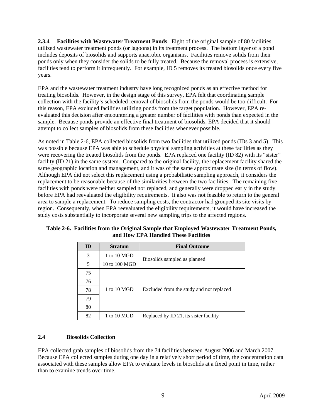<span id="page-18-0"></span>**2.3.4 Facilities with Wastewater Treatment Ponds**. Eight of the original sample of 80 facilities utilized wastewater treatment ponds (or lagoons) in its treatment process. The bottom layer of a pond includes deposits of biosolids and supports anaerobic organisms. Facilities remove solids from their ponds only when they consider the solids to be fully treated. Because the removal process is extensive, facilities tend to perform it infrequently. For example, ID 5 removes its treated biosolids once every five years.

EPA and the wastewater treatment industry have long recognized ponds as an effective method for treating biosolids. However, in the design stage of this survey, EPA felt that coordinating sample collection with the facility's scheduled removal of biosolids from the ponds would be too difficult. For this reason, EPA excluded facilities utilizing ponds from the target population. However, EPA reevaluated this decision after encountering a greater number of facilities with ponds than expected in the sample. Because ponds provide an effective final treatment of biosolids, EPA decided that it should attempt to collect samples of biosolids from these facilities whenever possible.

As noted in Table 2-6, EPA collected biosolids from two facilities that utilized ponds (IDs 3 and 5). This was possible because EPA was able to schedule physical sampling activities at these facilities as they were recovering the treated biosolids from the ponds. EPA replaced one facility (ID 82) with its "sister" facility (ID 21) in the same system. Compared to the original facility, the replacement facility shared the same geographic location and management, and it was of the same approximate size (in terms of flow). Although EPA did not select this replacement using a probabilistic sampling approach, it considers the replacement to be reasonable because of the similarities between the two facilities. The remaining five facilities with ponds were neither sampled nor replaced, and generally were dropped early in the study before EPA had reevaluated the eligibility requirements. It also was not feasible to return to the general area to sample a replacement. To reduce sampling costs, the contractor had grouped its site visits by region. Consequently, when EPA reevaluated the eligibility requirements, it would have increased the study costs substantially to incorporate several new sampling trips to the affected regions.

| ID | <b>Stratum</b> | <b>Final Outcome</b>                     |
|----|----------------|------------------------------------------|
| 3  | 1 to 10 MGD    | Biosolids sampled as planned             |
| 5  | 10 to 100 MGD  |                                          |
| 75 |                |                                          |
| 76 |                |                                          |
| 78 | 1 to 10 MGD    | Excluded from the study and not replaced |
| 79 |                |                                          |
| 80 |                |                                          |
| 82 | 1 to 10 MGD    | Replaced by ID 21, its sister facility   |

<span id="page-18-2"></span>**Table 2-6. Facilities from the Original Sample that Employed Wastewater Treatment Ponds, and How EPA Handled These Facilities** 

## <span id="page-18-1"></span>**2.4 Biosolids Collection**

EPA collected grab samples of biosolids from the 74 facilities between August 2006 and March 2007. Because EPA collected samples during one day in a relatively short period of time, the concentration data associated with these samples allow EPA to evaluate levels in biosolids at a fixed point in time, rather than to examine trends over time.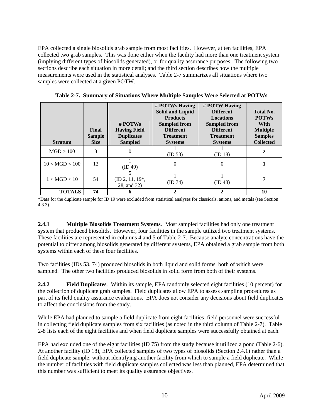EPA collected a single biosolids grab sample from most facilities. However, at ten facilities, EPA collected two grab samples. This was done either when the facility had more than one treatment system (implying different types of biosolids generated), or for quality assurance purposes. The following two sections describe each situation in more detail; and the third section describes how the multiple measurements were used in the statistical analyses. Table 2-7 summarizes all situations where two samples were collected at a given POTW.

<span id="page-19-2"></span>

| <b>Stratum</b> | <b>Final</b><br><b>Sample</b><br><b>Size</b> | $#$ POTWs<br><b>Having Field</b><br><b>Duplicates</b><br><b>Sampled</b> | # POTWs Having<br><b>Solid and Liquid</b><br><b>Products</b><br><b>Sampled from</b><br><b>Different</b><br><b>Treatment</b><br><b>Systems</b> | # POTW Having<br><b>Different</b><br><b>Locations</b><br><b>Sampled from</b><br><b>Different</b><br><b>Treatment</b><br><b>Systems</b> | Total No.<br><b>POTWs</b><br>With<br><b>Multiple</b><br><b>Samples</b><br><b>Collected</b> |
|----------------|----------------------------------------------|-------------------------------------------------------------------------|-----------------------------------------------------------------------------------------------------------------------------------------------|----------------------------------------------------------------------------------------------------------------------------------------|--------------------------------------------------------------------------------------------|
| MGD > 100      | 8                                            | 0                                                                       | (ID 53)                                                                                                                                       | (ID 18)                                                                                                                                | 2                                                                                          |
| 10 < MGD < 100 | 12                                           | (ID 49)                                                                 | $\Omega$                                                                                                                                      | $\theta$                                                                                                                               |                                                                                            |
| 1 < MGD < 10   | 54                                           | $(ID 2, 11, 19*)$ .<br>28, and 32)                                      | (ID 74)                                                                                                                                       | (ID 48)                                                                                                                                |                                                                                            |
| <b>TOTALS</b>  | 74                                           |                                                                         | 2                                                                                                                                             | 2                                                                                                                                      | 10                                                                                         |

**Table 2-7. Summary of Situations Where Multiple Samples Were Selected at POTWs** 

\*Data for the duplicate sample for ID 19 were excluded from statistical analyses for classicals, anions, and metals (see Section 4.3.3).

<span id="page-19-0"></span>**2.4.1** Multiple Biosolids Treatment Systems. Most sampled facilities had only one treatment system that produced biosolids. However, four facilities in the sample utilized two treatment systems. These facilities are represented in columns 4 and 5 of Table 2-7. Because analyte concentrations have the potential to differ among biosolids generated by different systems, EPA obtained a grab sample from both systems within each of these four facilities.

Two facilities (IDs 53, 74) produced biosolids in both liquid and solid forms, both of which were sampled. The other two facilities produced biosolids in solid form from both of their systems.

<span id="page-19-1"></span>**2.4.2 Field Duplicates**. Within its sample, EPA randomly selected eight facilities (10 percent) for the collection of duplicate grab samples. Field duplicates allow EPA to assess sampling procedures as part of its field quality assurance evaluations. EPA does not consider any decisions about field duplicates to affect the conclusions from the study.

While EPA had planned to sample a field duplicate from eight facilities, field personnel were successful in collecting field duplicate samples from six facilities (as noted in the third column of Table 2-7). Table 2-8 lists each of the eight facilities and when field duplicate samples were successfully obtained at each.

EPA had excluded one of the eight facilities (ID 75) from the study because it utilized a pond (Table 2-6). At another facility (ID 18), EPA collected samples of two types of biosolids (Section 2.4.1) rather than a field duplicate sample, without identifying another facility from which to sample a field duplicate. While the number of facilities with field duplicate samples collected was less than planned, EPA determined that this number was sufficient to meet its quality assurance objectives.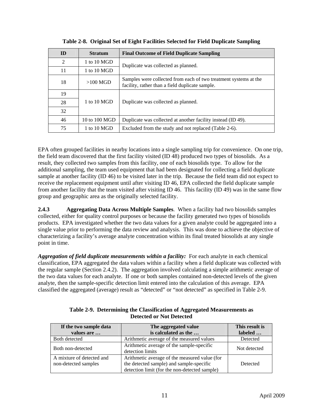<span id="page-20-1"></span>

| ID | <b>Stratum</b>        | <b>Final Outcome of Field Duplicate Sampling</b>                                                                    |
|----|-----------------------|---------------------------------------------------------------------------------------------------------------------|
| 2  | 1 to $10 \text{ MGD}$ | Duplicate was collected as planned.                                                                                 |
| 11 | $1$ to $10$ MGD       |                                                                                                                     |
| 18 | $>100$ MGD            | Samples were collected from each of two treatment systems at the<br>facility, rather than a field duplicate sample. |
| 19 |                       |                                                                                                                     |
| 28 | 1 to $10 \text{ MGD}$ | Duplicate was collected as planned.                                                                                 |
| 32 |                       |                                                                                                                     |
| 46 | 10 to 100 $MGD$       | Duplicate was collected at another facility instead (ID 49).                                                        |
| 75 | 1 to $10 \text{ MGD}$ | Excluded from the study and not replaced (Table 2-6).                                                               |

**Table 2-8. Original Set of Eight Facilities Selected for Field Duplicate Sampling** 

EPA often grouped facilities in nearby locations into a single sampling trip for convenience. On one trip, the field team discovered that the first facility visited (ID 48) produced two types of biosolids. As a result, they collected two samples from this facility, one of each biosolids type. To allow for the additional sampling, the team used equipment that had been designated for collecting a field duplicate sample at another facility (ID 46) to be visited later in the trip. Because the field team did not expect to receive the replacement equipment until after visiting ID 46, EPA collected the field duplicate sample from another facility that the team visited after visiting ID 46. This facility (ID 49) was in the same flow group and geographic area as the originally selected facility.

<span id="page-20-0"></span>**2.4.3 Aggregating Data Across Multiple Samples**. When a facility had two biosolids samples collected, either for quality control purposes or because the facility generated two types of biosolids products. EPA investigated whether the two data values for a given analyte could be aggregated into a single value prior to performing the data review and analysis. This was done to achieve the objective of characterizing a facility's average analyte concentration within its final treated biosolids at any single point in time.

Aggregation of field duplicate measurements within a facility: For each analyte in each chemical classification, EPA aggregated the data values within a facility when a field duplicate was collected with the regular sample (Section 2.4.2). The aggregation involved calculating a simple arithmetic average of the two data values for each analyte. If one or both samples contained non-detected levels of the given analyte, then the sample-specific detection limit entered into the calculation of this average. EPA classified the aggregated (average) result as "detected" or "not detected" as specified in Table 2-9.

<span id="page-20-2"></span>

| If the two sample data<br>values are              | The aggregated value<br>is calculated as the                                                                                               | This result is<br>labeled |
|---------------------------------------------------|--------------------------------------------------------------------------------------------------------------------------------------------|---------------------------|
| Both detected                                     | Arithmetic average of the measured values                                                                                                  | Detected                  |
| Both non-detected                                 | Arithmetic average of the sample-specific<br>detection limits                                                                              | Not detected              |
| A mixture of detected and<br>non-detected samples | Arithmetic average of the measured value (for<br>the detected sample) and sample-specific<br>detection limit (for the non-detected sample) | Detected                  |

| Table 2-9. Determining the Classification of Aggregated Measurements as |
|-------------------------------------------------------------------------|
| <b>Detected or Not Detected</b>                                         |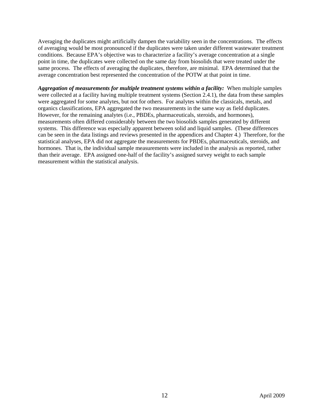Averaging the duplicates might artificially dampen the variability seen in the concentrations. The effects of averaging would be most pronounced if the duplicates were taken under different wastewater treatment conditions. Because EPA's objective was to characterize a facility's average concentration at a single point in time, the duplicates were collected on the same day from biosolids that were treated under the same process. The effects of averaging the duplicates, therefore, are minimal. EPA determined that the average concentration best represented the concentration of the POTW at that point in time.

*Aggregation of measurements for multiple treatment systems within a facility:* When multiple samples were collected at a facility having multiple treatment systems (Section 2.4.1), the data from these samples were aggregated for some analytes, but not for others. For analytes within the classicals, metals, and organics classifications, EPA aggregated the two measurements in the same way as field duplicates. However, for the remaining analytes (i.e., PBDEs, pharmaceuticals, steroids, and hormones), measurements often differed considerably between the two biosolids samples generated by different systems. This difference was especially apparent between solid and liquid samples. (These differences can be seen in the data listings and reviews presented in the appendices and Chapter 4.) Therefore, for the statistical analyses, EPA did not aggregate the measurements for PBDEs, pharmaceuticals, steroids, and hormones. That is, the individual sample measurements were included in the analysis as reported, rather than their average. EPA assigned one-half of the facility's assigned survey weight to each sample measurement within the statistical analysis.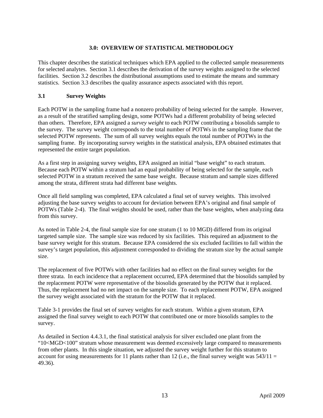## **3.0: OVERVIEW OF STATISTICAL METHODOLOGY**

<span id="page-22-0"></span>This chapter describes the statistical techniques which EPA applied to the collected sample measurements for selected analytes. Section 3.1 describes the derivation of the survey weights assigned to the selected facilities. Section 3.2 describes the distributional assumptions used to estimate the means and summary statistics. Section 3.3 describes the quality assurance aspects associated with this report.

## <span id="page-22-1"></span>**3.1 Survey Weights**

Each POTW in the sampling frame had a nonzero probability of being selected for the sample. However, as a result of the stratified sampling design, some POTWs had a different probability of being selected than others. Therefore, EPA assigned a *survey weight* to each POTW contributing a biosolids sample to the survey. The survey weight corresponds to the total number of POTWs in the sampling frame that the selected POTW represents. The sum of all survey weights equals the total number of POTWs in the sampling frame. By incorporating survey weights in the statistical analysis, EPA obtained estimates that represented the entire target population.

As a first step in assigning survey weights, EPA assigned an initial "base weight" to each stratum. Because each POTW within a stratum had an equal probability of being selected for the sample, each selected POTW in a stratum received the same base weight. Because stratum and sample sizes differed among the strata, different strata had different base weights.

Once all field sampling was completed, EPA calculated a final set of survey weights. This involved adjusting the base survey weights to account for deviation between EPA's original and final sample of POTWs (Table 2-4). The final weights should be used, rather than the base weights, when analyzing data from this survey.

As noted in Table 2-4, the final sample size for one stratum (1 to 10 MGD) differed from its original targeted sample size. The sample size was reduced by six facilities. This required an adjustment to the base survey weight for this stratum. Because EPA considered the six excluded facilities to fall within the survey's target population, this adjustment corresponded to dividing the stratum size by the actual sample size.

The replacement of five POTWs with other facilities had no effect on the final survey weights for the three strata. In each incidence that a replacement occurred, EPA determined that the biosolids sampled by the replacement POTW were representative of the biosolids generated by the POTW that it replaced. Thus, the replacement had no net impact on the sample size. To each replacement POTW, EPA assigned the survey weight associated with the stratum for the POTW that it replaced.

Table 3-1 provides the final set of survey weights for each stratum. Within a given stratum, EPA assigned the final survey weight to each POTW that contributed one or more biosolids samples to the survey.

As detailed in Section 4.4.3.1, the final statistical analysis for silver excluded one plant from the "10<MGD<100" stratum whose measurement was deemed excessively large compared to measurements from other plants. In this single situation, we adjusted the survey weight further for this stratum to account for using measurements for 11 plants rather than 12 (i.e., the final survey weight was  $543/11 =$ 49.36).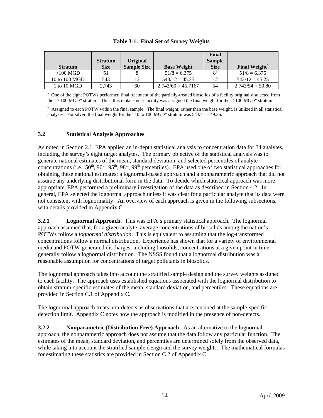<span id="page-23-3"></span>

| <b>Stratum</b> | <b>Stratum</b><br><b>Size</b> | Original<br><b>Sample Size</b> | <b>Base Weight</b>   | Final<br><b>Sample</b><br><b>Size</b> | Final Weight <sup>b</sup> |
|----------------|-------------------------------|--------------------------------|----------------------|---------------------------------------|---------------------------|
| $>100$ MGD     | 51                            |                                | $51/8 = 6.375$       | $8^{\rm a}$                           | $51/8 = 6.375$            |
| 10 to 100 MGD  | 543                           |                                | $543/12 = 45.25$     | 12                                    | $543/12 = 45.25$          |
| 1 to 10 MGD    | 2.743                         | 60                             | $2,743/60 = 45,7167$ | 54                                    | $2,743/54 = 50.80$        |

|  |  | Table 3-1. Final Set of Survey Weights |  |
|--|--|----------------------------------------|--|
|--|--|----------------------------------------|--|

<sup>a</sup> One of the eight POTWs performed final treatment of the partially-treated biosolids of a facility originally selected from the "> 100 MGD" stratum. Thus, this replacement facility was assigned the final weight for the ">100 MGD" stratum.

<sup>b</sup> Assigned to each POTW within the final sample. The final weight, rather than the base weight, is utilized in all statistical analyses. For silver, the final weight for the "10 to 100 MGD" stratum was  $543/11 = 49.36$ .

## <span id="page-23-0"></span>**3.2 Statistical Analysis Approaches**

As noted in Section 2.1, EPA applied an in-depth statistical analysis to concentration data for 34 analytes, including the survey's eight target analytes. The primary objective of the statistical analysis was to generate national estimates of the mean, standard deviation, and selected percentiles of analyte concentrations (i.e.,  $50^{th}$ ,  $90^{th}$ ,  $95^{th}$ ,  $98^{th}$ ,  $99^{th}$  percentiles). EPA used one of two statistical approaches for obtaining these national estimates: a lognormal-based approach and a nonparametric approach that did not assume any underlying distributional form in the data. To decide which statistical approach was more appropriate, EPA performed a preliminary investigation of the data as described in Section 4.2. In general, EPA selected the lognormal approach unless it was clear for a particular analyte that its data were not consistent with lognormality. An overview of each approach is given in the following subsections, with details provided in Appendix C.

<span id="page-23-1"></span>**3.2.1 Lognormal Approach**. This was EPA's primary statistical approach. The lognormal approach assumed that, for a given analyte, average concentrations of biosolids among the nation's POTWs follow a *lognormal distribution*. This is equivalent to assuming that the log-transformed concentrations follow a normal distribution. Experience has shown that for a variety of environmental media and POTW-generated discharges, including biosolids, concentrations at a given point in time generally follow a lognormal distribution. The NSSS found that a lognormal distribution was a reasonable assumption for concentrations of target pollutants in biosolids.

The lognormal approach takes into account the stratified sample design and the survey weights assigned to each facility. The approach uses established equations associated with the lognormal distribution to obtain stratum-specific estimates of the mean, standard deviation, and percentiles. These equations are provided in Section C.1 of Appendix C.

The lognormal approach treats non-detects as observations that are censored at the sample-specific detection limit. Appendix C notes how the approach is modified in the presence of non-detects.

<span id="page-23-2"></span>**3.2.2 Nonparametric (Distribution Free) Approach**. As an alternative to the lognormal approach, the nonparametric approach does not assume that the data follow any particular function. The estimates of the mean, standard deviation, and percentiles are determined solely from the observed data, while taking into account the stratified sample design and the survey weights. The mathematical formulas for estimating these statistics are provided in Section C.2 of Appendix C.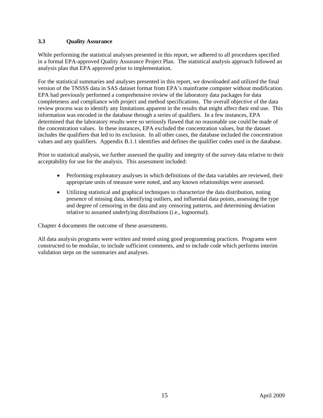## <span id="page-24-0"></span>**3.3 Quality Assurance**

While performing the statistical analyses presented in this report, we adhered to all procedures specified in a formal EPA-approved Quality Assurance Project Plan. The statistical analysis approach followed an analysis plan that EPA approved prior to implementation.

For the statistical summaries and analyses presented in this report, we downloaded and utilized the final version of the TNSSS data in SAS dataset format from EPA's mainframe computer without modification. EPA had previously performed a comprehensive review of the laboratory data packages for data completeness and compliance with project and method specifications. The overall objective of the data review process was to identify any limitations apparent in the results that might affect their end use. This information was encoded in the database through a series of qualifiers. In a few instances, EPA determined that the laboratory results were so seriously flawed that no reasonable use could be made of the concentration values. In these instances, EPA excluded the concentration values, but the dataset includes the qualifiers that led to its exclusion. In all other cases, the database included the concentration values and any qualifiers. Appendix B.1.1 identifies and defines the qualifier codes used in the database.

Prior to statistical analysis, we further assessed the quality and integrity of the survey data relative to their acceptability for use for the analysis. This assessment included:

- Performing exploratory analyses in which definitions of the data variables are reviewed, their appropriate units of measure were noted, and any known relationships were assessed.
- Utilizing statistical and graphical techniques to characterize the data distribution, noting presence of missing data, identifying outliers, and influential data points, assessing the type and degree of censoring in the data and any censoring patterns, and determining deviation relative to assumed underlying distributions (i.e., lognormal).

Chapter 4 documents the outcome of these assessments.

All data analysis programs were written and tested using good programming practices. Programs were constructed to be modular, to include sufficient comments, and to include code which performs interim validation steps on the summaries and analyses.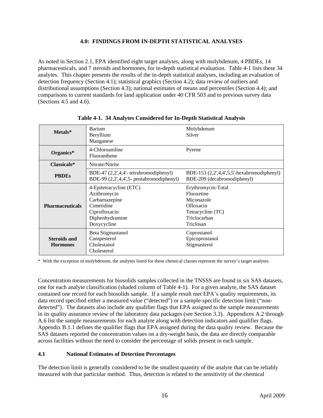## **4.0: FINDINGS FROM IN-DEPTH STATISTICAL ANALYSES**

<span id="page-25-0"></span>As noted in Section 2.1, EPA identified eight target analytes, along with molybdenum, 4 PBDEs, 14 pharmaceuticals, and 7 steroids and hormones, for in-depth statistical evaluation. Table 4-1 lists these 34 analytes. This chapter presents the results of the in-depth statistical analyses, including an evaluation of detection frequency (Section 4.1); statistical graphics (Section 4.2); data review of outliers and distributional assumptions (Section 4.3); national estimates of means and percentiles (Section 4.4); and comparisons to current standards for land application under 40 CFR 503 and to previous survey data (Sections 4.5 and 4.6).

<span id="page-25-2"></span>

| Metals*                                | Barium<br>Beryllium<br>Manganese                                                                                          | Molybdenum<br>Silver                                                                                          |
|----------------------------------------|---------------------------------------------------------------------------------------------------------------------------|---------------------------------------------------------------------------------------------------------------|
| Organics*                              | 4-Chloroaniline<br>Fluoranthene                                                                                           | Pyrene                                                                                                        |
| Classicals*                            | Nitrate/Nitrite                                                                                                           |                                                                                                               |
| <b>PBDEs</b>                           | BDE-47 (2,2',4,4'- tetrabromodiphenyl)<br>BDE-99 (2,2',4,4',5- pentabromodiphenyl)                                        | BDE-153 $(2,2,4,4,5,5)$ -hexabromodiphenyl)<br>BDE-209 (decabromodiphenyl)                                    |
| <b>Pharmaceuticals</b>                 | 4-Epitetracycline (ETC)<br>Azithromycin<br>Carbamazepine<br>Cimetidine<br>Ciprofloxacin<br>Diphenhydramine<br>Doxycycline | Erythromycin-Total<br>Fluoxetine<br>Miconazole<br>Ofloxacin<br>Tetracycline (TC)<br>Triclocarban<br>Triclosan |
| <b>Steroids and</b><br><b>Hormones</b> | Beta Stigmastanol<br>Campesterol<br>Cholestanol<br>Cholesterol                                                            | Coprostanol<br>Epicoprostanol<br>Stigmasterol                                                                 |

**Table 4-1. 34 Analytes Considered for In-Depth Statistical Analysis** 

\* With the exception of molybdenum, the analytes listed for these chemical classes represent the survey's target analytes.

Concentration measurements for biosolids samples collected in the TNSSS are found in six SAS datasets, one for each analyte classification (shaded column of Table 4-1). For a given analyte, the SAS dataset contained one record for each biosolids sample. If a sample result met EPA's quality requirements, its data record specified either a measured value ("detected") or a sample-specific detection limit ("nondetected"). The datasets also include any qualifier flags that EPA assigned to the sample measurements in its quality assurance review of the laboratory data packages (see Section 3.3). Appendices A.2 through A.6 list the sample measurements for each analyte along with detection indicators and qualifier flags. Appendix B.1.1 defines the qualifier flags that EPA assigned during the data quality review. Because the SAS datasets reported the concentration values on a dry-weight basis, the data are directly comparable across facilities without the need to consider the percentage of solids present in each sample.

## <span id="page-25-1"></span>**4.1 National Estimates of Detection Percentages**

The detection limit is generally considered to be the smallest quantity of the analyte that can be reliably measured with that particular method. Thus, detection is related to the sensitivity of the chemical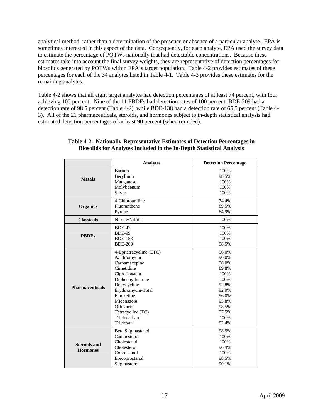analytical method, rather than a determination of the presence or absence of a particular analyte. EPA is sometimes interested in this aspect of the data. Consequently, for each analyte, EPA used the survey data to estimate the percentage of POTWs nationally that had detectable concentrations. Because these estimates take into account the final survey weights, they are representative of detection percentages for biosolids generated by POTWs within EPA's target population. Table 4-2 provides estimates of these percentages for each of the 34 analytes listed in Table 4-1. Table 4-3 provides these estimates for the remaining analytes.

<span id="page-26-0"></span>Table 4-2 shows that all eight target analytes had detection percentages of at least 74 percent, with four achieving 100 percent. Nine of the 11 PBDEs had detection rates of 100 percent; BDE-209 had a detection rate of 98.5 percent (Table 4-2), while BDE-138 had a detection rate of 65.5 percent (Table 4- 3). All of the 21 pharmaceuticals, steroids, and hormones subject to in-depth statistical analysis had estimated detection percentages of at least 90 percent (when rounded).

|                        | <b>Analytes</b>         | <b>Detection Percentage</b> |
|------------------------|-------------------------|-----------------------------|
|                        | Barium                  | 100%                        |
| <b>Metals</b>          | Beryllium               | 98.5%                       |
|                        | Manganese               | 100%                        |
|                        | Molybdenum              | 100%                        |
|                        | Silver                  | 100%                        |
|                        | 4-Chloroaniline         | 74.4%                       |
| <b>Organics</b>        | Fluoranthene            | 89.5%                       |
|                        | Pyrene                  | 84.9%                       |
| <b>Classicals</b>      | Nitrate/Nitrite         | 100%                        |
|                        | <b>BDE-47</b>           | 100%                        |
| <b>PBDEs</b>           | <b>BDE-99</b>           | 100%                        |
|                        | <b>BDE-153</b>          | 100%                        |
|                        | <b>BDE-209</b>          | 98.5%                       |
|                        | 4-Epitetracycline (ETC) | 96.0%                       |
|                        | Azithromycin            | 96.0%                       |
|                        | Carbamazepine           | 96.0%                       |
|                        | Cimetidine              | 89.8%                       |
|                        | Ciprofloxacin           | 100%                        |
|                        | Diphenhydramine         | 100%                        |
| <b>Pharmaceuticals</b> | Doxycycline             | 92.8%                       |
|                        | Erythromycin-Total      | 92.9%                       |
|                        | Fluoxetine              | 96.0%                       |
|                        | Miconazole              | 95.8%                       |
|                        | Ofloxacin               | 98.5%                       |
|                        | Tetracycline (TC)       | 97.5%                       |
|                        | Triclocarban            | 100%                        |
|                        | Triclosan               | 92.4%                       |
|                        | Beta Stigmastanol       | 98.5%                       |
|                        | Campesterol             | 100%                        |
| <b>Steroids and</b>    | Cholestanol             | 100%                        |
| <b>Hormones</b>        | Cholesterol             | 96.9%                       |
|                        | Coprostanol             | 100%                        |
|                        | Epicoprostanol          | 98.5%                       |
|                        | Stigmasterol            | 90.1%                       |

#### **Table 4-2. Nationally-Representative Estimates of Detection Percentages in Biosolids for Analytes Included in the In-Depth Statistical Analysis**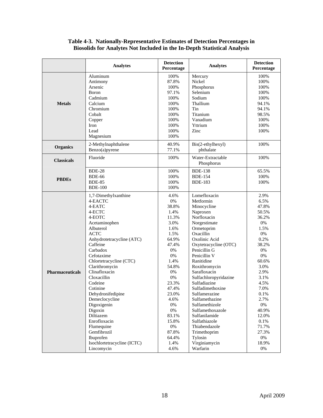#### **Table 4-3. Nationally-Representative Estimates of Detection Percentages in Biosolids for Analytes Not Included in the In-Depth Statistical Analysis**

<span id="page-27-0"></span>

|                        | <b>Analytes</b>                                                                                                                                                                                                                                                                                                                                                                                                                                                        | <b>Detection</b><br>Percentage                                                                                                                                                                                                               | <b>Analytes</b>                                                                                                                                                                                                                                                                                                                                                                                                                                                                          | <b>Detection</b><br>Percentage                                                                                                                                                                                                            |
|------------------------|------------------------------------------------------------------------------------------------------------------------------------------------------------------------------------------------------------------------------------------------------------------------------------------------------------------------------------------------------------------------------------------------------------------------------------------------------------------------|----------------------------------------------------------------------------------------------------------------------------------------------------------------------------------------------------------------------------------------------|------------------------------------------------------------------------------------------------------------------------------------------------------------------------------------------------------------------------------------------------------------------------------------------------------------------------------------------------------------------------------------------------------------------------------------------------------------------------------------------|-------------------------------------------------------------------------------------------------------------------------------------------------------------------------------------------------------------------------------------------|
| <b>Metals</b>          | Aluminum<br>Antimony<br>Arsenic<br>Boron<br>Cadmium<br>Calcium<br>Chromium<br>Cobalt<br>Copper<br>Iron<br>Lead<br>Magnesium                                                                                                                                                                                                                                                                                                                                            | 100%<br>87.8%<br>100%<br>97.1%<br>100%<br>100%<br>100%<br>100%<br>100%<br>100%<br>100%<br>100%                                                                                                                                               | Mercury<br>Nickel<br>Phosphorus<br>Selenium<br>Sodium<br>Thallium<br>Tin<br>Titanium<br>Vanadium<br>Yttrium<br>Zinc                                                                                                                                                                                                                                                                                                                                                                      | 100%<br>100%<br>100%<br>100%<br>100%<br>94.1%<br>94.1%<br>98.5%<br>100%<br>100%<br>100%                                                                                                                                                   |
| <b>Organics</b>        | 2-Methylnaphthalene<br>Benzo(a)pyrene                                                                                                                                                                                                                                                                                                                                                                                                                                  | 40.9%<br>77.1%                                                                                                                                                                                                                               | Bis(2-ethylhexyl)<br>phthalate                                                                                                                                                                                                                                                                                                                                                                                                                                                           | 100%                                                                                                                                                                                                                                      |
| <b>Classicals</b>      | Fluoride                                                                                                                                                                                                                                                                                                                                                                                                                                                               | 100%                                                                                                                                                                                                                                         | Water-Extractable<br>Phosphorus                                                                                                                                                                                                                                                                                                                                                                                                                                                          | 100%                                                                                                                                                                                                                                      |
| <b>PBDEs</b>           | <b>BDE-28</b><br><b>BDE-66</b><br><b>BDE-85</b><br><b>BDE-100</b>                                                                                                                                                                                                                                                                                                                                                                                                      | 100%<br>100%<br>100%<br>100%                                                                                                                                                                                                                 | <b>BDE-138</b><br><b>BDE-154</b><br><b>BDE-183</b>                                                                                                                                                                                                                                                                                                                                                                                                                                       | 65.5%<br>100%<br>100%                                                                                                                                                                                                                     |
| <b>Pharmaceuticals</b> | 1,7-Dimethylxanthine<br>4-EACTC<br>4-EATC<br>4-ECTC<br>4-EOTC<br>Acetaminophen<br>Albuterol<br><b>ACTC</b><br>Anhydrotetracycline (ATC)<br>Caffeine<br>Carbadox<br>Cefotaxime<br>Chlortetracycline (CTC)<br>Clarithromycin<br>Clinafloxacin<br>Cloxacillin<br>Codeine<br>Cotinine<br>Dehydronifedipine<br>Demeclocycline<br>Digoxigenin<br>Digoxin<br>Diltiazem<br>Enrofloxacin<br>Flumequine<br>Gemfibrozil<br>Ibuprofen<br>Isochlortetracycline (ICTC)<br>Lincomycin | 4.6%<br>$0\%$<br>38.8%<br>1.4%<br>11.3%<br>3.0%<br>1.6%<br>1.5%<br>64.9%<br>47.4%<br>0%<br>$0\%$<br>1.4%<br>54.8%<br>0%<br>0%<br>23.3%<br>47.4%<br>23.0%<br>4.6%<br>$0\%$<br>0%<br>83.1%<br>15.8%<br>$0\%$<br>87.8%<br>64.4%<br>1.4%<br>4.6% | Lomefloxacin<br>Metformin<br>Minocycline<br>Naproxen<br>Norfloxacin<br>Norgestimate<br>Ormetoprim<br>Oxacillin<br>Oxolinic Acid<br>Oxytetracycline (OTC)<br>Penicillin G<br>Penicillin V<br>Ranitidine<br>Roxithromycin<br>Sarafloxacin<br>Sulfachloropyridazine<br>Sulfadiazine<br>Sulfadimethoxine<br>Sulfamerazine<br>Sulfamethazine<br>Sulfamethizole<br>Sulfamethoxazole<br>Sulfanilamide<br>Sulfathiazole<br>Thiabendazole<br>Trimethoprim<br>Tylosin<br>Virginiamycin<br>Warfarin | 2.9%<br>6.5%<br>47.8%<br>50.5%<br>36.2%<br>0%<br>1.5%<br>0%<br>0.2%<br>38.2%<br>0%<br>0%<br>60.6%<br>3.0%<br>2.9%<br>3.1%<br>4.5%<br>7.0%<br>0.1%<br>2.7%<br>$0\%$<br>40.9%<br>12.0%<br>0.1%<br>71.7%<br>27.3%<br>$0\%$<br>18.9%<br>$0\%$ |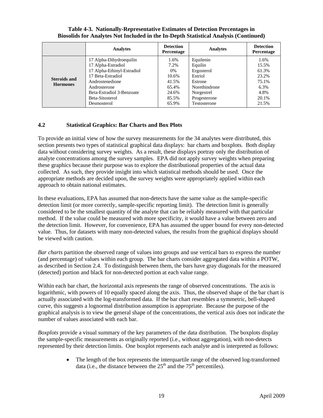|                                        | <b>Analytes</b>                                                                                                                     | <b>Detection</b><br>Percentage                | <b>Analytes</b>                                                           | <b>Detection</b><br><b>Percentage</b>            |
|----------------------------------------|-------------------------------------------------------------------------------------------------------------------------------------|-----------------------------------------------|---------------------------------------------------------------------------|--------------------------------------------------|
| <b>Steroids and</b><br><b>Hormones</b> | 17 Alpha-Dihydroequilin<br>17 Alpha-Estradiol<br>17 Alpha-Ethinyl-Estradiol<br>17 Beta-Estradiol<br>Androstenedione<br>Androsterone | 1.6%<br>7.2%<br>0%<br>10.6%<br>41.5%<br>65.4% | Equilenin<br>Equilin<br>Ergosterol<br>Estriol<br>Estrone<br>Norethindrone | 1.6%<br>15.5%<br>61.3%<br>23.2%<br>75.1%<br>6.3% |
|                                        | Beta-Estradiol 3-Benzoate<br>Beta-Sitosterol<br>Desmosterol                                                                         | 24.6%<br>85.5%<br>65.9%                       | Norgestrel<br>Progesterone<br>Testosterone                                | 4.8%<br>20.1%<br>21.5%                           |

## **Table 4-3. Nationally-Representative Estimates of Detection Percentages in Biosolids for Analytes Not Included in the In-Depth Statistical Analysis (Continued)**

## <span id="page-28-0"></span>**4.2 Statistical Graphics: Bar Charts and Box Plots**

To provide an initial view of how the survey measurements for the 34 analytes were distributed, this section presents two types of statistical graphical data displays: bar charts and boxplots. Both display data without considering survey weights. As a result, these displays portray only the distribution of analyte concentrations among the survey samples. EPA did not apply survey weights when preparing these graphics because their purpose was to explore the distributional properties of the actual data collected. As such, they provide insight into which statistical methods should be used. Once the appropriate methods are decided upon, the survey weights were appropriately applied within each approach to obtain national estimates.

In these evaluations, EPA has assumed that non-detects have the same value as the sample-specific detection limit (or more correctly, sample-specific reporting limit). The detection limit is generally considered to be the smallest quantity of the analyte that can be reliably measured with that particular method. If the value could be measured with more specificity, it would have a value between zero and the detection limit. However, for convenience, EPA has assumed the upper bound for every non-detected value. Thus, for datasets with many non-detected values, the results from the graphical displays should be viewed with caution.

*Bar charts* partition the observed range of values into groups and use vertical bars to express the number (and percentage) of values within each group. The bar charts consider aggregated data within a POTW, as described in Section 2.4. To distinguish between them, the bars have gray diagonals for the measured (detected) portion and black for non-detected portion at each value range.

Within each bar chart, the horizontal axis represents the range of observed concentrations. The axis is logarithmic, with powers of 10 equally spaced along the axis. Thus, the observed shape of the bar chart is actually associated with the log-transformed data. If the bar chart resembles a symmetric, bell-shaped curve, this suggests a lognormal distribution assumption is appropriate. Because the purpose of the graphical analysis is to view the general shape of the concentrations, the vertical axis does not indicate the number of values associated with each bar.

*Boxplots* provide a visual summary of the key parameters of the data distribution. The boxplots display the sample-specific measurements as originally reported (i.e., without aggregation), with non-detects represented by their detection limits. One boxplot represents each analyte and is interpreted as follows:

> • The length of the box represents the interquartile range of the observed log-transformed data (i.e., the distance between the  $25<sup>th</sup>$  and the  $75<sup>th</sup>$  percentiles).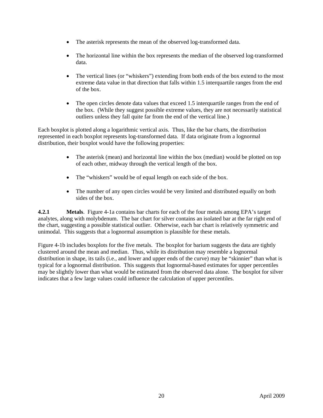- The asterisk represents the mean of the observed log-transformed data.
- The horizontal line within the box represents the median of the observed log-transformed data.
- The vertical lines (or "whiskers") extending from both ends of the box extend to the most extreme data value in that direction that falls within 1.5 interquartile ranges from the end of the box.
- The open circles denote data values that exceed 1.5 interquartile ranges from the end of the box. (While they suggest possible extreme values, they are not necessarily statistical outliers unless they fall quite far from the end of the vertical line.)

Each boxplot is plotted along a logarithmic vertical axis. Thus, like the bar charts, the distribution represented in each boxplot represents log-transformed data. If data originate from a lognormal distribution, their boxplot would have the following properties:

- The asterisk (mean) and horizontal line within the box (median) would be plotted on top of each other, midway through the vertical length of the box.
- The "whiskers" would be of equal length on each side of the box.
- The number of any open circles would be very limited and distributed equally on both sides of the box.

<span id="page-29-0"></span>**4.2.1 Metals**. Figure 4-1a contains bar charts for each of the four metals among EPA's target analytes, along with molybdenum. The bar chart for silver contains an isolated bar at the far right end of the chart, suggesting a possible statistical outlier. Otherwise, each bar chart is relatively symmetric and unimodal. This suggests that a lognormal assumption is plausible for these metals.

Figure 4-1b includes boxplots for the five metals. The boxplot for barium suggests the data are tightly clustered around the mean and median. Thus, while its distribution may resemble a lognormal distribution in shape, its tails (i.e., and lower and upper ends of the curve) may be "skinnier" than what is typical for a lognormal distribution. This suggests that lognormal-based estimates for upper percentiles may be slightly lower than what would be estimated from the observed data alone. The boxplot for silver indicates that a few large values could influence the calculation of upper percentiles.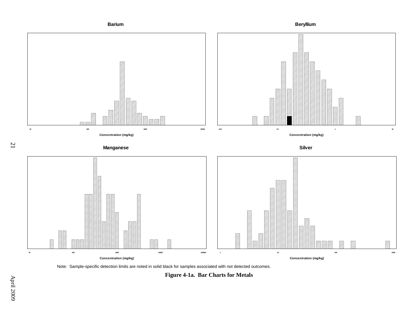

Note: Sample-specific detection limits are noted in solid black for samples associated with not detected outcomes.

<span id="page-30-0"></span>**Figure 4-1a. Bar Charts for Metals** 

21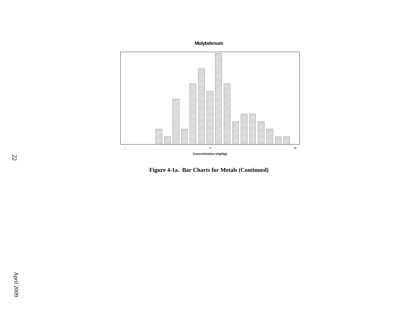

**Figure 4-1a. Bar Charts for Metals (Continued)**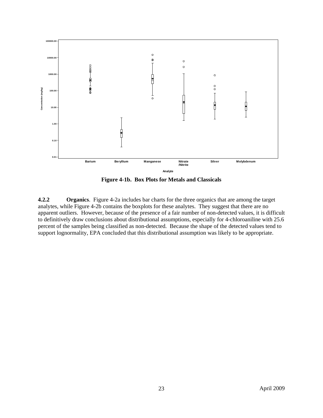

**Figure 4-1b. Box Plots for Metals and Classicals** 

<span id="page-32-1"></span><span id="page-32-0"></span>**4.2.2 Organics**. Figure 4-2a includes bar charts for the three organics that are among the target analytes, while Figure 4-2b contains the boxplots for these analytes. They suggest that there are no apparent outliers. However, because of the presence of a fair number of non-detected values, it is difficult to definitively draw conclusions about distributional assumptions, especially for 4-chloroaniline with 25.6 percent of the samples being classified as non-detected. Because the shape of the detected values tend to support lognormality, EPA concluded that this distributional assumption was likely to be appropriate.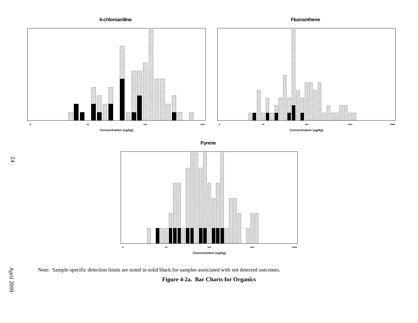**4-chloroaniline**

**Fluoranthene**



**Pyrene**



Note: Sample-specific detection limits are noted in solid black for samples associated with not detected outcomes.

<span id="page-33-0"></span>**Figure 4-2a. Bar Charts for Organics**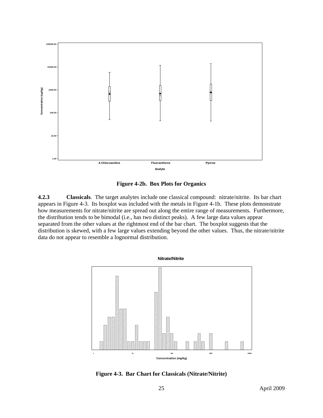

**Figure 4-2b. Box Plots for Organics** 

<span id="page-34-1"></span><span id="page-34-0"></span>**4.2.3 Classicals**. The target analytes include one classical compound: nitrate/nitrite. Its bar chart appears in Figure 4-3. Its boxplot was included with the metals in Figure 4-1b. These plots demonstrate how measurements for nitrate/nitrite are spread out along the entire range of measurements. Furthermore, the distribution tends to be bimodal (i.e., has two distinct peaks). A few large data values appear separated from the other values at the rightmost end of the bar chart. The boxplot suggests that the distribution is skewed, with a few large values extending beyond the other values. Thus, the nitrate/nitrite data do not appear to resemble a lognormal distribution.



<span id="page-34-2"></span>**Figure 4-3. Bar Chart for Classicals (Nitrate/Nitrite)**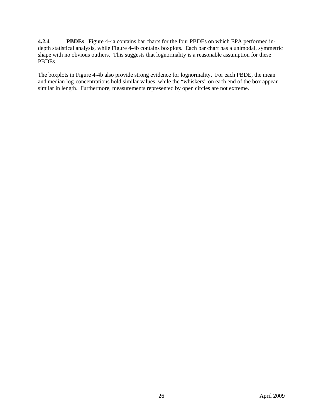<span id="page-35-0"></span>**4.2.4 PBDEs**. Figure 4-4a contains bar charts for the four PBDEs on which EPA performed indepth statistical analysis, while Figure 4-4b contains boxplots. Each bar chart has a unimodal, symmetric shape with no obvious outliers. This suggests that lognormality is a reasonable assumption for these PBDEs.

The boxplots in Figure 4-4b also provide strong evidence for lognormality. For each PBDE, the mean and median log-concentrations hold similar values, while the "whiskers" on each end of the box appear similar in length. Furthermore, measurements represented by open circles are not extreme.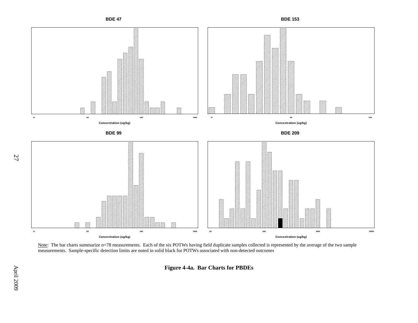

Note: The bar charts summarize n=78 measurements. Each of the six POTWs having field duplicate samples collected is represented by the average of the two sample measurements. Sample-specific detection limits are noted in solid black for POTWs associated with non-detected outcomes

<span id="page-36-0"></span>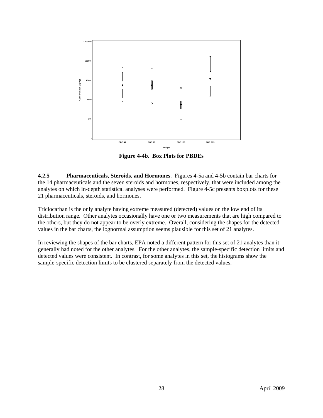

**Figure 4-4b. Box Plots for PBDEs** 

<span id="page-37-1"></span><span id="page-37-0"></span>**4.2.5 Pharmaceuticals, Steroids, and Hormones**. Figures 4-5a and 4-5b contain bar charts for the 14 pharmaceuticals and the seven steroids and hormones, respectively, that were included among the analytes on which in-depth statistical analyses were performed. Figure 4-5c presents boxplots for these 21 pharmaceuticals, steroids, and hormones.

Triclocarban is the only analyte having extreme measured (detected) values on the low end of its distribution range. Other analytes occasionally have one or two measurements that are high compared to the others, but they do not appear to be overly extreme. Overall, considering the shapes for the detected values in the bar charts, the lognormal assumption seems plausible for this set of 21 analytes.

In reviewing the shapes of the bar charts, EPA noted a different pattern for this set of 21 analytes than it generally had noted for the other analytes. For the other analytes, the sample-specific detection limits and detected values were consistent. In contrast, for some analytes in this set, the histograms show the sample-specific detection limits to be clustered separately from the detected values.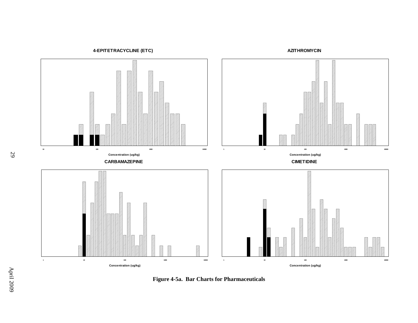**4-EPITETRACYCLINE (ETC)**





<span id="page-38-0"></span>**Figure 4-5a. Bar Charts for Pharmaceuticals**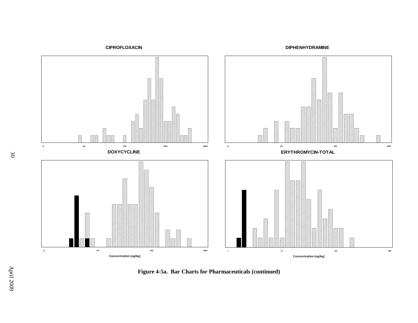**DIPHENHYDRAMINE**





**Figure 4-5a. Bar Charts for Pharmaceuticals (continued)**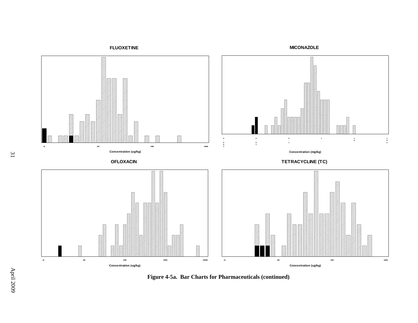**FLUOXETINE** Ø **1 1 . 1 0 100 1000 10000 Concentration (ug/kg) Concentration (mg/kg) TETRACYCLINE (TC) OFLOXACIN BELLEVILLE STATE** Ø **1010 100 1000 10000 100000 100 1000 10000 Concentration (ug/kg) Concentration (ug/kg)**

**Figure 4-5a. Bar Charts for Pharmaceuticals (continued)**

**MICONAZOLE**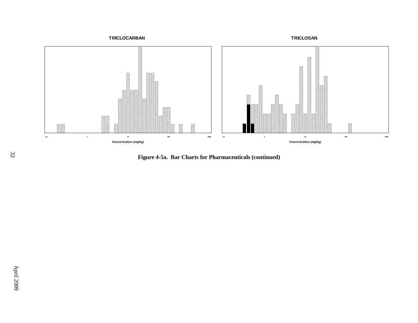

<sup>32</sup> **Figure 4-5a. Bar Charts for Pharmaceuticals (continued)**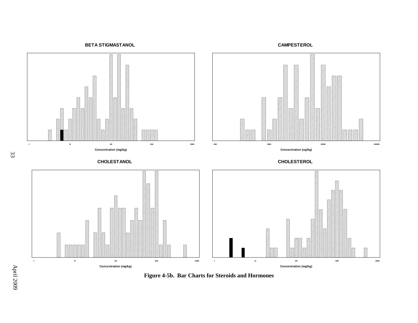**BETA STIGMASTANOL**

**CAMPESTEROL**



<span id="page-42-0"></span>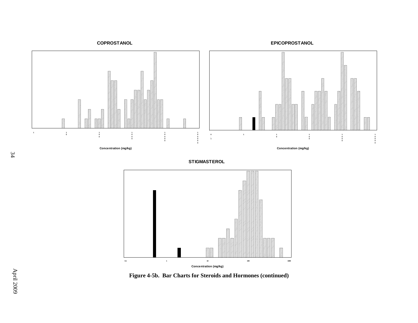**COPROSTANOL**

**EPICOPROSTANOL**



**STIGMASTEROL**



**Figure 4-5b. Bar Charts for Steroids and Hormones (continued)**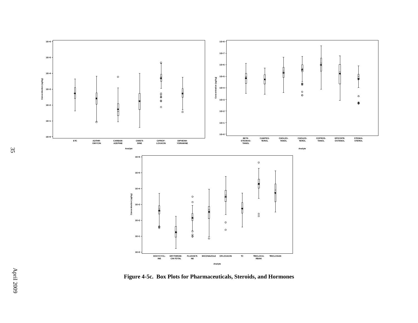

<span id="page-44-0"></span>**Figure 4-5c. Box Plots for Pharmaceuticals, Steroids, and Hormones**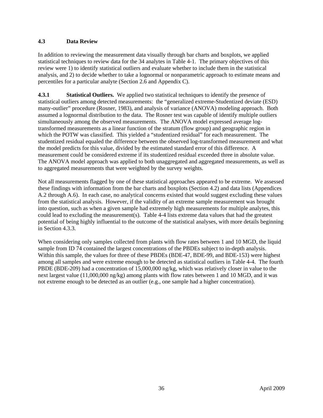## <span id="page-45-0"></span>**4.3 Data Review**

In addition to reviewing the measurement data visually through bar charts and boxplots, we applied statistical techniques to review data for the 34 analytes in Table 4-1. The primary objectives of this review were 1) to identify statistical outliers and evaluate whether to include them in the statistical analysis, and 2) to decide whether to take a lognormal or nonparametric approach to estimate means and percentiles for a particular analyte (Section 2.6 and Appendix C).

<span id="page-45-1"></span>**4.3.1** Statistical Outliers. We applied two statistical techniques to identify the presence of statistical outliers among detected measurements: the "generalized extreme-Studentized deviate (ESD) many-outlier" procedure (Rosner, 1983), and analysis of variance (ANOVA) modeling approach. Both assumed a lognormal distribution to the data. The Rosner test was capable of identify multiple outliers simultaneously among the observed measurements. The ANOVA model expressed average logtransformed measurements as a linear function of the stratum (flow group) and geographic region in which the POTW was classified. This yielded a "studentized residual" for each measurement. The studentized residual equaled the difference between the observed log-transformed measurement and what the model predicts for this value, divided by the estimated standard error of this difference. A measurement could be considered extreme if its studentized residual exceeded three in absolute value. The ANOVA model approach was applied to both unaggregated and aggregated measurements, as well as to aggregated measurements that were weighted by the survey weights.

Not all measurements flagged by one of these statistical approaches appeared to be extreme. We assessed these findings with information from the bar charts and boxplots (Section 4.2) and data lists (Appendices A.2 through A.6). In each case, no analytical concerns existed that would suggest excluding these values from the statistical analysis. However, if the validity of an extreme sample measurement was brought into question, such as when a given sample had extremely high measurements for multiple analytes, this could lead to excluding the measurement(s). Table 4-4 lists extreme data values that had the greatest potential of being highly influential to the outcome of the statistical analyses, with more details beginning in Section 4.3.3.

When considering only samples collected from plants with flow rates between 1 and 10 MGD, the liquid sample from ID 74 contained the largest concentrations of the PBDEs subject to in-depth analysis. Within this sample, the values for three of these PBDEs (BDE-47, BDE-99, and BDE-153) were highest among all samples and were extreme enough to be detected as statistical outliers in Table 4-4. The fourth PBDE (BDE-209) had a concentration of 15,000,000 ng/kg, which was relatively closer in value to the next largest value (11,000,000 ng/kg) among plants with flow rates between 1 and 10 MGD, and it was not extreme enough to be detected as an outlier (e.g., one sample had a higher concentration).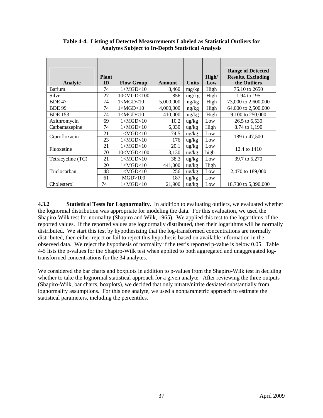<span id="page-46-1"></span>

|                   |              |                   |           |                   |       | <b>Range of Detected</b>  |
|-------------------|--------------|-------------------|-----------|-------------------|-------|---------------------------|
|                   | <b>Plant</b> |                   |           |                   | High/ | <b>Results, Excluding</b> |
| Analyte           | ID           | <b>Flow Group</b> | Amount    | <b>Units</b>      | Low   | the Outliers              |
| Barium            | 74           | 1 < MGD < 10      | 3,460     | mg/kg             | High  | 75.10 to 2650             |
| Silver            | 27           | 10 < MGD < 100    | 856       | mg/kg             | High  | 1.94 to 195               |
| <b>BDE 47</b>     | 74           | 1 < MGD < 10      | 5,000,000 | ng/kg             | High  | 73,000 to 2,600,000       |
| <b>BDE 99</b>     | 74           | 1 < MGD < 10      | 4,000,000 | ng/kg             | High  | 64,000 to 2,500,000       |
| <b>BDE 153</b>    | 74           | 1 < MGD < 10      | 410,000   | ng/kg             | High  | 9,100 to 250,000          |
| Azithromycin      | 69           | 1 < MGD < 10      | 10.2      | $\frac{u g}{k g}$ | Low   | 26.5 to 6,530             |
| Carbamazepine     | 74           | 1 < MGD < 10      | 6,030     | $\frac{u g}{k g}$ | High  | 8.74 to 1,190             |
|                   | 21           | 1 < MGD < 10      | 74.5      | $\frac{u g}{k g}$ | Low   | 189 to 47,500             |
| Ciprofloxacin     | 23           | 1 < MGD < 10      | 176       | $\frac{u g}{k g}$ | Low   |                           |
| Fluoxetine        | 21           | 1 < MGD < 10      | 20.1      | $\frac{u g}{k g}$ | Low   | 12.4 to 1410              |
|                   | 70           | 10 < MGD < 100    | 3,130     | $\frac{u g}{k g}$ | high  |                           |
| Tetracycline (TC) | 21           | 1 < MGD < 10      | 38.3      | $\frac{u g}{k g}$ | Low   | 39.7 to 5,270             |
|                   | 20           | 1 < MGD < 10      | 441,000   | $\frac{u g}{k g}$ | High  |                           |
| Triclocarban      | 48           | 1 < MGD < 10      | 256       | $\frac{u g}{k g}$ | Low   | 2,470 to 189,000          |
|                   | 61           | MGD>100           | 187       | $\frac{u g}{k g}$ | Low   |                           |
| Cholesterol       | 74           | 1 < MGD < 10      | 21,900    | $\frac{u g}{k g}$ | Low   | 18,700 to 5,390,000       |

**Table 4-4. Listing of Detected Measurements Labeled as Statistical Outliers for Analytes Subject to In-Depth Statistical Analysis** 

<span id="page-46-0"></span>**4.3.2 Statistical Tests for Lognormality.** In addition to evaluating outliers, we evaluated whether the lognormal distribution was appropriate for modeling the data. For this evaluation, we used the Shapiro-Wilk test for normality (Shapiro and Wilk, 1965). We applied this test to the logarithms of the reported values. If the reported values are lognormally distributed, then their logarithms will be normally distributed. We start this test by hypothesizing that the log-transformed concentrations are normally distributed, then either reject or fail to reject this hypothesis based on available information in the observed data. We reject the hypothesis of normality if the test's reported p-value is below 0.05. Table 4-5 lists the p-values for the Shapiro-Wilk test when applied to both aggregated and unaggregated logtransformed concentrations for the 34 analytes.

We considered the bar charts and boxplots in addition to p-values from the Shapiro-Wilk test in deciding whether to take the lognormal statistical approach for a given analyte. After reviewing the three outputs (Shapiro-Wilk, bar charts, boxplots), we decided that only nitrate/nitrite deviated substantially from lognormality assumptions. For this one analyte, we used a nonparametric approach to estimate the statistical parameters, including the percentiles.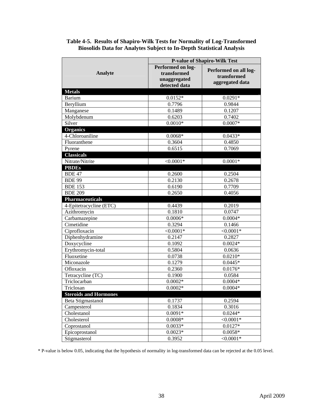<span id="page-47-0"></span>

|                                          |                                                                   | <b>P-value of Shapiro-Wilk Test</b>                     |
|------------------------------------------|-------------------------------------------------------------------|---------------------------------------------------------|
| <b>Analyte</b>                           | Performed on log-<br>transformed<br>unaggregated<br>detected data | Performed on all log-<br>transformed<br>aggregated data |
| <b>Metals</b>                            |                                                                   |                                                         |
| Barium                                   | $0.0152*$                                                         | $0.0291*$                                               |
| Beryllium                                | 0.7796                                                            | 0.9844                                                  |
| Manganese                                | 0.1489                                                            | 0.1207                                                  |
| Molybdenum                               | 0.6203                                                            | 0.7402                                                  |
| Silver                                   | $0.0010*$                                                         | $0.0007*$                                               |
| <b>Organics</b>                          |                                                                   |                                                         |
| 4-Chloroaniline                          | $0.0068*$                                                         | $0.0433*$                                               |
| Fluoranthene                             | 0.3604                                                            | 0.4850                                                  |
| Pyrene                                   | 0.6515                                                            | 0.7069                                                  |
| <b>Classicals</b>                        |                                                                   |                                                         |
| Nitrate/Nitrite                          | $<0.0001*$                                                        | $0.0001*$                                               |
| <b>PBDEs</b>                             |                                                                   |                                                         |
| <b>BDE 47</b>                            | 0.2600                                                            | 0.2504<br>0.2678                                        |
| <b>BDE 99</b>                            | 0.2130                                                            |                                                         |
| <b>BDE 153</b>                           | 0.6190<br>0.2650                                                  | 0.7709                                                  |
| <b>BDE 209</b><br><b>Pharmaceuticals</b> |                                                                   | 0.4056                                                  |
| 4-Epitetracycline (ETC)                  | 0.4439                                                            | 0.2019                                                  |
| Azithromycin                             | 0.1810                                                            | 0.0747                                                  |
| Carbamazepine                            | $0.0006*$                                                         | $0.0004*$                                               |
| Cimetidine                               | 0.3294                                                            | 0.1466                                                  |
| Ciprofloxacin                            | $< 0.0001*$                                                       | $< 0.0001*$                                             |
| Diphenhydramine                          | 0.2147                                                            | 0.2827                                                  |
| Doxycycline                              | 0.1092                                                            | $0.0024*$                                               |
| Erythromycin-total                       | 0.5804                                                            | 0.0636                                                  |
| Fluoxetine                               | 0.0738                                                            | $0.0210*$                                               |
| Miconazole                               | 0.1279                                                            | $0.0445*$                                               |
| Ofloxacin                                | 0.2360                                                            | $0.0176*$                                               |
| Tetracycline (TC)                        | 0.1900                                                            | 0.0584                                                  |
| Triclocarban                             | $0.0002*$                                                         | $0.0004*$                                               |
| Triclosan                                | $0.0002*$                                                         | $0.0004*$                                               |
| <b>Steroids and Hormones</b>             |                                                                   |                                                         |
| Beta Stigmastanol                        | 0.1737                                                            | 0.2594                                                  |
| Campesterol                              | 0.1834                                                            | 0.3016                                                  |
| Cholestanol                              | $0.0091*$                                                         | $0.0244*$                                               |
| Cholesterol                              | $0.0008*$                                                         | $< 0.0001*$                                             |
| Coprostanol                              | $0.0033*$                                                         | $0.0127*$                                               |
| Epicoprostanol                           | $0.0023*$                                                         | $0.0058*$                                               |
| Stigmasterol                             | 0.3952                                                            | $< 0.0001*$                                             |

#### **Table 4-5. Results of Shapiro-Wilk Tests for Normality of Log-Transformed Biosolids Data for Analytes Subject to In-Depth Statistical Analysis**

\* P-value is below 0.05, indicating that the hypothesis of normality in log-transformed data can be rejected at the 0.05 level.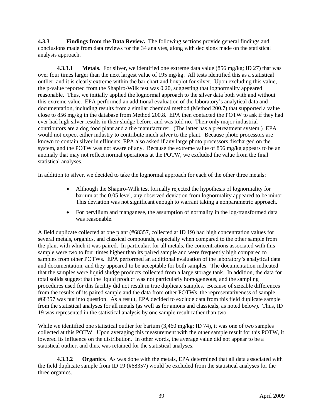<span id="page-48-0"></span>**4.3.3 Findings from the Data Review.** The following sections provide general findings and conclusions made from data reviews for the 34 analytes, along with decisions made on the statistical analysis approach.

<span id="page-48-1"></span>**4.3.3.1** Metals. For silver, we identified one extreme data value (856 mg/kg; ID 27) that was over four times larger than the next largest value of 195 mg/kg. All tests identified this as a statistical outlier, and it is clearly extreme within the bar chart and boxplot for silver. Upon excluding this value, the p-value reported from the Shapiro-Wilk test was 0.20, suggesting that lognormality appeared reasonable. Thus, we initially applied the lognormal approach to the silver data both with and without this extreme value. EPA performed an additional evaluation of the laboratory's analytical data and documentation, including results from a similar chemical method (Method 200.7) that supported a value close to 856 mg/kg in the database from Method 200.8. EPA then contacted the POTW to ask if they had ever had high silver results in their sludge before, and was told no. Their only major industrial contributors are a dog food plant and a tire manufacturer. (The latter has a pretreatment system.) EPA would not expect either industry to contribute much silver to the plant. Because photo processors are known to contain silver in effluents, EPA also asked if any large photo processors discharged on the system, and the POTW was not aware of any. Because the extreme value of 856 mg/kg appears to be an anomaly that may not reflect normal operations at the POTW, we excluded the value from the final statistical analyses.

In addition to silver, we decided to take the lognormal approach for each of the other three metals:

- Although the Shapiro-Wilk test formally rejected the hypothesis of lognormality for barium at the 0.05 level, any observed deviation from lognormality appeared to be minor. This deviation was not significant enough to warrant taking a nonparametric approach.
- For beryllium and manganese, the assumption of normality in the log-transformed data was reasonable.

A field duplicate collected at one plant (#68357, collected at ID 19) had high concentration values for several metals, organics, and classical compounds, especially when compared to the other sample from the plant with which it was paired. In particular, for all metals, the concentrations associated with this sample were two to four times higher than its paired sample and were frequently high compared to samples from other POTWs. EPA performed an additional evaluation of the laboratory's analytical data and documentation, and they appeared to be acceptable for both samples. The documentation indicated that the samples were liquid sludge products collected from a large storage tank. In addition, the data for total solids suggest that the liquid product was not particularly homogeneous, and the sampling procedures used for this facility did not result in true duplicate samples. Because of sizeable differences from the results of its paired sample and the data from other POTWs, the representativeness of sample #68357 was put into question. As a result, EPA decided to exclude data from this field duplicate sample from the statistical analyses for all metals (as well as for anions and classicals, as noted below). Thus, ID 19 was represented in the statistical analysis by one sample result rather than two.

While we identified one statistical outlier for barium (3,460 mg/kg; ID 74), it was one of two samples collected at this POTW. Upon averaging this measurement with the other sample result for this POTW, it lowered its influence on the distribution. In other words, the average value did not appear to be a statistical outlier, and thus, was retained for the statistical analyses.

<span id="page-48-2"></span>**4.3.3.2 Organics**. As was done with the metals, EPA determined that all data associated with the field duplicate sample from ID 19 (#68357) would be excluded from the statistical analyses for the three organics.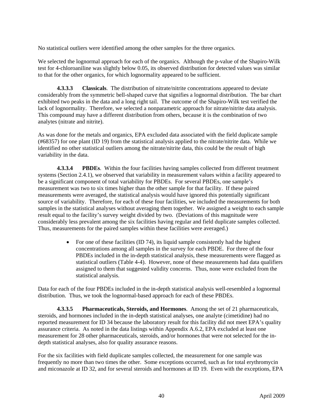No statistical outliers were identified among the other samples for the three organics.

We selected the lognormal approach for each of the organics. Although the p-value of the Shapiro-Wilk test for 4-chloroaniline was slightly below 0.05, its observed distribution for detected values was similar to that for the other organics, for which lognormality appeared to be sufficient.

<span id="page-49-0"></span>**4.3.3.3 Classicals**. The distribution of nitrate/nitrite concentrations appeared to deviate considerably from the symmetric bell-shaped curve that signifies a lognormal distribution. The bar chart exhibited two peaks in the data and a long right tail. The outcome of the Shapiro-Wilk test verified the lack of lognormality. Therefore, we selected a nonparametric approach for nitrate/nitrite data analysis. This compound may have a different distribution from others, because it is the combination of two analytes (nitrate and nitrite).

As was done for the metals and organics, EPA excluded data associated with the field duplicate sample (#68357) for one plant (ID 19) from the statistical analysis applied to the nitrate/nitrite data. While we identified no other statistical outliers among the nitrate/nitrite data, this could be the result of high variability in the data.

<span id="page-49-1"></span>**4.3.3.4 PBDEs**. Within the four facilities having samples collected from different treatment systems (Section 2.4.1), we observed that variability in measurement values within a facility appeared to be a significant component of total variability for PBDEs. For several PBDEs, one sample's measurement was two to six times higher than the other sample for that facility. If these paired measurements were averaged, the statistical analysis would have ignored this potentially significant source of variability. Therefore, for each of these four facilities, we included the measurements for both samples in the statistical analyses without averaging them together. We assigned a weight to each sample result equal to the facility's survey weight divided by two. (Deviations of this magnitude were considerably less prevalent among the six facilities having regular and field duplicate samples collected. Thus, measurements for the paired samples within these facilities were averaged.)

> • For one of these facilities (ID 74), its liquid sample consistently had the highest concentrations among all samples in the survey for each PBDE. For three of the four PBDEs included in the in-depth statistical analysis, these measurements were flagged as statistical outliers (Table 4-4). However, none of these measurements had data qualifiers assigned to them that suggested validity concerns. Thus, none were excluded from the statistical analysis.

Data for each of the four PBDEs included in the in-depth statistical analysis well-resembled a lognormal distribution. Thus, we took the lognormal-based approach for each of these PBDEs.

<span id="page-49-2"></span>**4.3.3.5 Pharmaceuticals, Steroids, and Hormones**. Among the set of 21 pharmaceuticals, steroids, and hormones included in the in-depth statistical analyses, one analyte (cimetidine) had no reported measurement for ID 34 because the laboratory result for this facility did not meet EPA's quality assurance criteria. As noted in the data listings within Appendix A.6.2, EPA excluded at least one measurement for 28 other pharmaceuticals, steroids, and/or hormones that were not selected for the indepth statistical analyses, also for quality assurance reasons.

For the six facilities with field duplicate samples collected, the measurement for one sample was frequently no more than two times the other. Some exceptions occurred, such as for total erythromycin and miconazole at ID 32, and for several steroids and hormones at ID 19. Even with the exceptions, EPA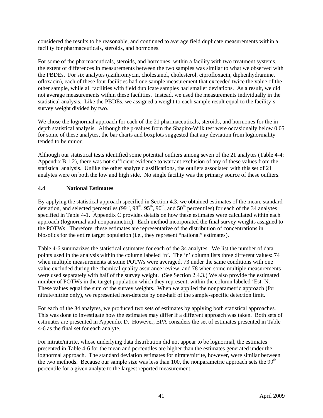considered the results to be reasonable, and continued to average field duplicate measurements within a facility for pharmaceuticals, steroids, and hormones.

For some of the pharmaceuticals, steroids, and hormones, within a facility with two treatment systems, the extent of differences in measurements between the two samples was similar to what we observed with the PBDEs. For six analytes (azithromycin, cholestanol, cholesterol, ciprofloxacin, diphenhydramine, ofloxacin), each of these four facilities had one sample measurement that exceeded twice the value of the other sample, while all facilities with field duplicate samples had smaller deviations. As a result, we did not average measurements within these facilities. Instead, we used the measurements individually in the statistical analysis. Like the PBDEs, we assigned a weight to each sample result equal to the facility's survey weight divided by two.

We chose the lognormal approach for each of the 21 pharmaceuticals, steroids, and hormones for the indepth statistical analysis. Although the p-values from the Shapiro-Wilk test were occasionally below 0.05 for some of these analytes, the bar charts and boxplots suggested that any deviation from lognormality tended to be minor.

Although our statistical tests identified some potential outliers among seven of the 21 analytes (Table 4-4; Appendix B.1.2), there was not sufficient evidence to warrant exclusion of any of these values from the statistical analysis. Unlike the other analyte classifications, the outliers associated with this set of 21 analytes were on both the low and high side. No single facility was the primary source of these outliers.

## <span id="page-50-0"></span>**4.4 National Estimates**

By applying the statistical approach specified in Section 4.3, we obtained estimates of the mean, standard deviation, and selected percentiles  $(99^{th}, 98^{th}, 95^{th}, 90^{th},$  and  $50^{th}$  percentiles) for each of the 34 analytes specified in Table 4-1. Appendix C provides details on how these estimates were calculated within each approach (lognormal and nonparametric). Each method incorporated the final survey weights assigned to the POTWs. Therefore, these estimates are representative of the distribution of concentrations in biosolids for the entire target population (i.e., they represent "national" estimates).

Table 4-6 summarizes the statistical estimates for each of the 34 analytes. We list the number of data points used in the analysis within the column labeled 'n'. The 'n' column lists three different values: 74 when multiple measurements at some POTWs were averaged, 73 under the same conditions with one value excluded during the chemical quality assurance review, and 78 when some multiple measurements were used separately with half of the survey weight. (See Section 2.4.3.) We also provide the estimated number of POTWs in the target population which they represent, within the column labeled 'Est. N.' These values equal the sum of the survey weights. When we applied the nonparametric approach (for nitrate/nitrite only), we represented non-detects by one-half of the sample-specific detection limit.

For each of the 34 analytes, we produced two sets of estimates by applying both statistical approaches. This was done to investigate how the estimates may differ if a different approach was taken. Both sets of estimates are presented in Appendix D. However, EPA considers the set of estimates presented in Table 4-6 as the final set for each analyte.

For nitrate/nitrite, whose underlying data distribution did not appear to be lognormal, the estimates presented in Table 4-6 for the mean and percentiles are higher than the estimates generated under the lognormal approach. The standard deviation estimates for nitrate/nitrite, however, were similar between the two methods. Because our sample size was less than 100, the nonparametric approach sets the  $99<sup>th</sup>$ percentile for a given analyte to the largest reported measurement.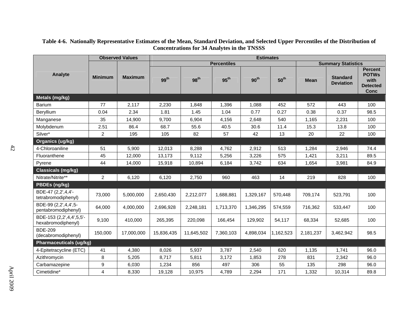<span id="page-51-0"></span>

|                                                |                | <b>Observed Values</b> |                  |                  |                    | <b>Estimates</b> |                  |             |                                     |                                                                          |
|------------------------------------------------|----------------|------------------------|------------------|------------------|--------------------|------------------|------------------|-------------|-------------------------------------|--------------------------------------------------------------------------|
|                                                |                |                        |                  |                  | <b>Percentiles</b> |                  |                  |             | <b>Summary Statistics</b>           |                                                                          |
| Analyte                                        | <b>Minimum</b> | <b>Maximum</b>         | 99 <sup>th</sup> | 98 <sup>th</sup> | $95^{\text{th}}$   | 90 <sup>th</sup> | 50 <sup>th</sup> | <b>Mean</b> | <b>Standard</b><br><b>Deviation</b> | <b>Percent</b><br><b>POTWs</b><br>with<br><b>Detected</b><br><b>Conc</b> |
| Metals (mg/kg)                                 |                |                        |                  |                  |                    |                  |                  |             |                                     |                                                                          |
| <b>Barium</b>                                  | 77             | 2,117                  | 2,230            | 1,848            | 1,396              | 1,088            | 452              | 572         | 443                                 | 100                                                                      |
| Beryllium                                      | 0.04           | 2.34                   | 1.81             | 1.45             | 1.04               | 0.77             | 0.27             | 0.38        | 0.37                                | 98.5                                                                     |
| Manganese                                      | 35             | 14,900                 | 9,700            | 6,904            | 4,156              | 2,648            | 540              | 1,165       | 2,231                               | 100                                                                      |
| Molybdenum                                     | 2.51           | 86.4                   | 68.7             | 55.6             | 40.5               | 30.6             | 11.4             | 15.3        | 13.8                                | 100                                                                      |
| Silver*                                        | 2              | 195                    | 105              | 82               | 57                 | 42               | 13               | 20          | 22                                  | 100                                                                      |
| Organics (ug/kg)                               |                |                        |                  |                  |                    |                  |                  |             |                                     |                                                                          |
| 4-Chloroaniline                                | 51             | 5,900                  | 12,013           | 8,288            | 4,762              | 2,912            | 513              | 1,284       | 2,946                               | 74.4                                                                     |
| Fluoranthene                                   | 45             | 12,000                 | 13,173           | 9,112            | 5,256              | 3,226            | 575              | 1,421       | 3,211                               | 89.5                                                                     |
| Pyrene                                         | 44             | 14,000                 | 15,918           | 10,894           | 6,184              | 3,742            | 634              | 1,654       | 3,981                               | 84.9                                                                     |
| <b>Classicals (mg/kg)</b>                      |                |                        |                  |                  |                    |                  |                  |             |                                     |                                                                          |
| Nitrate/Nitrite**                              | $\overline{c}$ | 6,120                  | 6,120            | 2,750            | 960                | 463              | 14               | 219         | 828                                 | 100                                                                      |
| PBDEs (ng/kg)                                  |                |                        |                  |                  |                    |                  |                  |             |                                     |                                                                          |
| BDE-47 (2,2',4,4'-<br>tetrabromodiphenyl)      | 73,000         | 5,000,000              | 2,650,430        | 2,212,077        | 1,688,881          | 1,329,167        | 570,448          | 709,174     | 523,791                             | 100                                                                      |
| BDE-99 (2,2',4,4',5-<br>pentabromodiphenyl)    | 64,000         | 4,000,000              | 2,696,928        | 2,248,181        | 1,713,370          | 1,346,295        | 574,559          | 716,362     | 533,447                             | 100                                                                      |
| BDE-153 (2,2',4,4',5,5'-<br>hexabromodiphenyl) | 9,100          | 410,000                | 265,395          | 220,098          | 166,454            | 129,902          | 54,117           | 68,334      | 52,685                              | 100                                                                      |
| <b>BDE-209</b><br>(decabromodiphenyl)          | 150,000        | 17,000,000             | 15,836,435       | 11,645,502       | 7,360,103          | 4,898,034        | 1,162,523        | 2,181,237   | 3,462,942                           | 98.5                                                                     |
| <b>Pharmaceuticals (ug/kg)</b>                 |                |                        |                  |                  |                    |                  |                  |             |                                     |                                                                          |
| 4-Epitetracycline (ETC)                        | 41             | 4,380                  | 8,026            | 5,937            | 3,787              | 2,540            | 620              | 1,135       | 1,741                               | 96.0                                                                     |
| Azithromycin                                   | 8              | 5,205                  | 8,717            | 5,811            | 3,172              | 1,853            | 278              | 831         | 2,342                               | 96.0                                                                     |
| Carbamazepine                                  | 9              | 6,030                  | 1,234            | 856              | 497                | 306              | 55               | 135         | 298                                 | 96.0                                                                     |
| Cimetidine*                                    | 4              | 8,330                  | 19,128           | 10,975           | 4,789              | 2,294            | 171              | 1,332       | 10,314                              | 89.8                                                                     |

#### **Table 4-6. Nationally Representative Estimates of the Mean, Standard Deviation, and Selected Upper Percentiles of the Distribution of Concentrations for 34 Analytes in the TNSSS**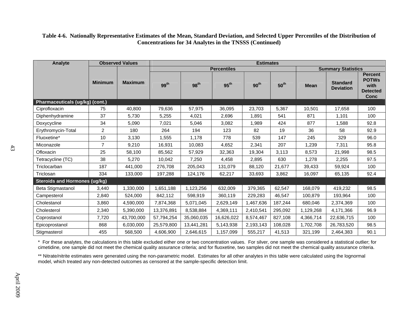| Table 4-6. Nationally Representative Estimates of the Mean, Standard Deviation, and Selected Upper Percentiles of the Distribution of |  |
|---------------------------------------------------------------------------------------------------------------------------------------|--|
| <b>Concentrations for 34 Analytes in the TNSSS (Continued)</b>                                                                        |  |

| Analyte                              | <b>Observed Values</b> |                | <b>Estimates</b> |                                                 |                  |                  |                  |             |                                     |                                                                   |  |  |
|--------------------------------------|------------------------|----------------|------------------|-------------------------------------------------|------------------|------------------|------------------|-------------|-------------------------------------|-------------------------------------------------------------------|--|--|
|                                      |                        |                |                  | <b>Summary Statistics</b><br><b>Percentiles</b> |                  |                  |                  |             |                                     |                                                                   |  |  |
|                                      | <b>Minimum</b>         | <b>Maximum</b> | 99 <sup>th</sup> | 98 <sup>th</sup>                                | $95^{\text{th}}$ | 90 <sup>th</sup> | $50^{\text{th}}$ | <b>Mean</b> | <b>Standard</b><br><b>Deviation</b> | <b>Percent</b><br><b>POTWS</b><br>with<br><b>Detected</b><br>Conc |  |  |
| Pharmaceuticals (ug/kg) (cont.)      |                        |                |                  |                                                 |                  |                  |                  |             |                                     |                                                                   |  |  |
| Ciprofloxacin                        | 75                     | 40,800         | 79,636           | 57,975                                          | 36,095           | 23,703           | 5,367            | 10,501      | 17,658                              | 100                                                               |  |  |
| Diphenhydramine                      | 37                     | 5,730          | 5,255            | 4,021                                           | 2,696            | 1,891            | 541              | 871         | 1,101                               | 100                                                               |  |  |
| Doxycycline                          | 34                     | 5,090          | 7,021            | 5,046                                           | 3,082            | 1,989            | 424              | 877         | 1,588                               | 92.8                                                              |  |  |
| Erythromycin-Total                   | $\overline{2}$         | 180            | 264              | 194                                             | 123              | 82               | 19               | 36          | 58                                  | 92.9                                                              |  |  |
| Fluoxetine*                          | 10                     | 3,130          | 1,555            | 1,178                                           | 778              | 539              | 147              | 245         | 329                                 | 96.0                                                              |  |  |
| Miconazole                           | $\overline{7}$         | 9,210          | 16,931           | 10,083                                          | 4,652            | 2,341            | 207              | 1,239       | 7,311                               | 95.8                                                              |  |  |
| Ofloxacin                            | 25                     | 58,100         | 85,562           | 57,929                                          | 32,363           | 19,304           | 3,113            | 8,573       | 21,998                              | 98.5                                                              |  |  |
| Tetracycline (TC)                    | 38                     | 5,270          | 10,042           | 7,250                                           | 4,458            | 2,895            | 630              | 1,278       | 2,255                               | 97.5                                                              |  |  |
| Triclocarban                         | 187                    | 441,000        | 276,708          | 205,043                                         | 131,079          | 88,120           | 21,677           | 39,433      | 59,924                              | 100                                                               |  |  |
| Triclosan                            | 334                    | 133,000        | 197,288          | 124,176                                         | 62,217           | 33,693           | 3,862            | 16,097      | 65,135                              | 92.4                                                              |  |  |
| <b>Steroids and Hormones (ug/kg)</b> |                        |                |                  |                                                 |                  |                  |                  |             |                                     |                                                                   |  |  |
| Beta Stigmastanol                    | 3,440                  | 1,330,000      | 1,651,188        | 1,123,256                                       | 632,009          | 379,365          | 62,547           | 168,079     | 419,232                             | 98.5                                                              |  |  |
| Campesterol                          | 2,840                  | 524,000        | 842,112          | 598,919                                         | 360,119          | 229,283          | 46,547           | 100,879     | 193,964                             | 100                                                               |  |  |
| Cholestanol                          | 3,860                  | 4,590,000      | 7,874,368        | 5,071,045                                       | 2,629,149        | 1,467,636        | 187,244          | 680,046     | 2,374,369                           | 100                                                               |  |  |
| Cholesterol                          | 2,340                  | 5,390,000      | 13,376,891       | 8,538,884                                       | 4,369,111        | 2,410,541        | 295,092          | 1,129,268   | 4,171,366                           | 96.9                                                              |  |  |
| Coprostanol                          | 7,720                  | 43,700,000     | 57,794,254       | 35,060,035                                      | 16,626,022       | 8,574,467        | 827,108          | 4,366,714   | 22,636,715                          | 100                                                               |  |  |
| Epicoprostanol                       | 868                    | 6,030,000      | 25,579,800       | 13,441,281                                      | 5,143,938        | 2,193,143        | 108,028          | 1,702,708   | 26,783,520                          | 98.5                                                              |  |  |
| Stigmasterol                         | 455                    | 568,500        | 4,606,900        | 2,646,615                                       | 1,157,099        | 555,217          | 41,513           | 321,199     | 2,464,383                           | 90.1                                                              |  |  |

\* For these analytes, the calculations in this table excluded either one or two concentration values. For silver, one sample was considered a statistical outlier; for cimetidine, one sample did not meet the chemical quality assurance criteria; and for fluoxetine, two samples did not meet the chemical quality assurance criteria.

\*\* Nitrate/nitrite estimates were generated using the non-parametric model. Estimates for all other analytes in this table were calculated using the lognormal model, which treated any non-detected outcomes as censored at the sample-specific detection limit.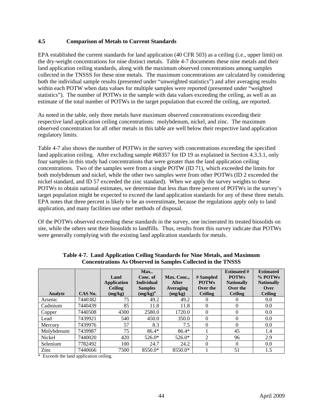## <span id="page-53-0"></span>**4.5 Comparison of Metals to Current Standards**

EPA established the current standards for land application (40 CFR 503) as a ceiling (i.e., upper limit) on the dry-weight concentrations for nine distinct metals. Table 4-7 documents these nine metals and their land application ceiling standards, along with the maximum observed concentrations among samples collected in the TNSSS for these nine metals. The maximum concentrations are calculated by considering both the individual sample results (presented under "unweighted statistics") and after averaging results within each POTW when data values for multiple samples were reported (presented under "weighted statistics"). The number of POTWs in the sample with data values exceeding the ceiling, as well as an estimate of the total number of POTWs in the target population that exceed the ceiling, are reported.

As noted in the table, only three metals have maximum observed concentrations exceeding their respective land application ceiling concentrations: molybdenum, nickel, and zinc. The maximum observed concentration for all other metals in this table are well below their respective land application regulatory limits.

Table 4-7 also shows the number of POTWs in the survey with concentrations exceeding the specified land application ceiling. After excluding sample #68357 for ID 19 as explained in Section 4.3.3.1, only four samples in this study had concentrations that were greater than the land application ceiling concentrations. Two of the samples were from a single POTW (ID 71), which exceeded the limits for both molybdenum and nickel, while the other two samples were from other POTWs (ID 2 exceeded the nickel standard, and ID 57 exceeded the zinc standard). When we apply the survey weights to these POTWs to obtain national estimates, we determine that less than three percent of POTWs in the survey's target population might be expected to exceed the land application standards for any of these three metals. EPA notes that three percent is likely to be an overestimate, because the regulations apply only to land application, and many facilities use other methods of disposal.

Of the POTWs observed exceeding these standards in the survey, one incinerated its treated biosolids on site, while the others sent their biosolids to landfills. Thus, results from this survey indicate that POTWs were generally complying with the existing land application standards for metals.

<span id="page-53-1"></span>

| Analyte    | CAS No. | Land<br><b>Application</b><br><b>Ceiling</b><br>(mg/kg) | Max<br>Conc. of<br><b>Individual</b><br><b>Samples</b><br>$(mg/kg)^a$ | Max. Conc.,<br>After<br>Averaging<br>(mg/kg) | # Sampled<br><b>POTWs</b><br>Over the<br><b>Ceiling</b> | <b>Estimated #</b><br><b>POTWs</b><br><b>Nationally</b><br>Over the<br><b>Ceiling</b> | <b>Estimated</b><br>% POTWs<br><b>Nationally</b><br>Over<br><b>Ceiling</b> |
|------------|---------|---------------------------------------------------------|-----------------------------------------------------------------------|----------------------------------------------|---------------------------------------------------------|---------------------------------------------------------------------------------------|----------------------------------------------------------------------------|
| Arsenic    | 7440382 | 75                                                      | 49.2                                                                  | 49.2                                         | 0                                                       | 0                                                                                     | 0.0                                                                        |
| Cadmium    | 7440439 | 85                                                      | 11.8                                                                  | 11.8                                         | 0                                                       | $\overline{0}$                                                                        | 0.0                                                                        |
| Copper     | 7440508 | 4300                                                    | 2580.0                                                                | 1720.0                                       | 0                                                       | $\theta$                                                                              | 0.0                                                                        |
| Lead       | 7439921 | 540                                                     | 450.0                                                                 | 350.0                                        | $\Omega$                                                | $\theta$                                                                              | 0.0                                                                        |
| Mercury    | 7439976 | 57                                                      | 8.3                                                                   | 7.5                                          | $\Omega$                                                | $\theta$                                                                              | 0.0                                                                        |
| Molybdenum | 7439987 | 75                                                      | $86.4*$                                                               | $86.4*$                                      |                                                         | 45                                                                                    | 1.4                                                                        |
| Nickel     | 7440020 | 420                                                     | 526.0*                                                                | 526.0*                                       | 2                                                       | 96                                                                                    | 2.9                                                                        |
| Selenium   | 7782492 | 100                                                     | 24.7                                                                  | 24.2                                         | 0                                                       | $\theta$                                                                              | 0.0                                                                        |
| Zinc       | 7440666 | 7500                                                    | 8550.0*                                                               | 8550.0*                                      |                                                         | 51                                                                                    | 1.5                                                                        |

**Table 4-7. Land Application Ceiling Standards for Nine Metals, and Maximum Concentrations As Observed in Samples Collected in the TNSSS** 

\* Exceeds the land application ceiling.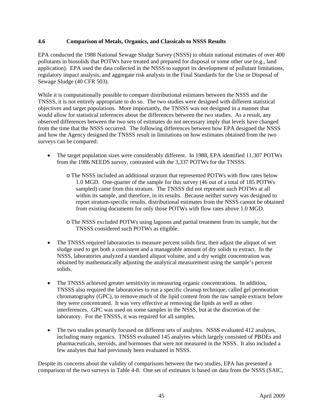#### <span id="page-54-0"></span>**4.6 Comparison of Metals, Organics, and Classicals to NSSS Results**

EPA conducted the 1988 National Sewage Sludge Survey (NSSS) to obtain national estimates of over 400 pollutants in biosolids that POTWs have treated and prepared for disposal or some other use (e.g., land application). EPA used the data collected in the NSSS to support its development of pollutant limitations, regulatory impact analysis, and aggregate risk analysis in the Final Standards for the Use or Disposal of Sewage Sludge (40 CFR 503).

While it is computationally possible to compare distributional estimates between the NSSS and the TNSSS, it is not entirely appropriate to do so. The two studies were designed with different statistical objectives and target populations. More importantly, the TNSSS was not designed in a manner that would allow for statistical inferences about the differences between the two studies. As a result, any observed differences between the two sets of estimates do not necessary imply that levels have changed from the time that the NSSS occurred. The following differences between how EPA designed the NSSS and how the Agency designed the TNSSS result in limitations on how estimates obtained from the two surveys can be compared:

- The target population sizes were considerably different. In 1988, EPA identified 11,307 POTWs from the 1986 NEEDS survey, contrasted with the 3,337 POTWs for the TNSSS.
	- o The NSSS included an additional stratum that represented POTWs with flow rates below 1.0 MGD. One-quarter of the sample for this survey (46 out of a total of 185 POTWs sampled) came from this stratum. The TNSSS did not represent such POTWs at all within its sample, and therefore, in its results. Because neither survey was designed to report stratum-specific results, distributional estimates from the NSSS cannot be obtained from existing documents for only those POTWs with flow rates above 1.0 MGD.
	- o The NSSS excluded POTWs using lagoons and partial treatment from its sample, but the TNSSS considered such POTWs as eligible.
- The TNSSS required laboratories to measure percent solids first, then adjust the aliquot of wet sludge used to get both a consistent and a manageable amount of dry solids to extract. In the NSSS, laboratories analyzed a standard aliquot volume, and a dry weight concentration was obtained by mathematically adjusting the analytical measurement using the sample's percent solids.
- The TNSSS achieved greater sensitivity in measuring organic concentrations. In addition, TNSSS also required the laboratories to run a specific cleanup technique, called gel permeation chromatography (GPC), to remove much of the lipid content from the raw sample extracts before they were concentrated. It was very effective at removing the lipids as well as other interferences. GPC was used on some samples in the NSSS, but at the discretion of the laboratory. For the TNSSS, it was required for all samples.
- The two studies primarily focused on different sets of analytes. NSSS evaluated 412 analytes, including many organics. TNSSS evaluated 145 analytes which largely consisted of PBDEs and pharmaceuticals, steroids, and hormones that were not measured in the NSSS. It also included a few analytes that had previously been evaluated in NSSS.

Despite its concerns about the validity of comparisons between the two studies, EPA has presented a comparison of the two surveys in Table 4-8. One set of estimates is based on data from the NSSS (SAIC,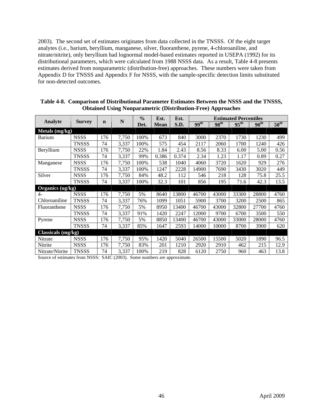2003). The second set of estimates originates from data collected in the TNSSS. Of the eight target analytes (i.e., barium, beryllium, manganese, silver, fluoranthene, pyrene, 4-chloroaniline, and nitrate/nitrite), only beryllium had lognormal model-based estimates reported in USEPA (1992) for its distributional parameters, which were calculated from 1988 NSSS data. As a result, Table 4-8 presents estimates derived from nonparametric (distribution-free) approaches. These numbers were taken from Appendix D for TNSSS and Appendix F for NSSS, with the sample-specific detection limits substituted for non-detected outcomes.

<span id="page-55-0"></span>

|                    |               |             | N     | $\frac{0}{0}$ | Est.        | Est.  | <b>Estimated Percentiles</b> |                  |                  |                  |                  |  |
|--------------------|---------------|-------------|-------|---------------|-------------|-------|------------------------------|------------------|------------------|------------------|------------------|--|
| Analyte            | <b>Survey</b> | $\mathbf n$ |       | Det.          | <b>Mean</b> | S.D.  | 99 <sup>th</sup>             | 98 <sup>th</sup> | $95^{\text{th}}$ | 90 <sup>th</sup> | $50^{\text{th}}$ |  |
| Metals $(mg/kg)$   |               |             |       |               |             |       |                              |                  |                  |                  |                  |  |
| Barium             | <b>NSSS</b>   | 176         | 7,750 | 100%          | 673         | 840   | 3000                         | 2370             | 1730             | 1230             | 499              |  |
|                    | <b>TNSSS</b>  | 74          | 3,337 | 100%          | 575         | 454   | 2117                         | 2060             | 1700             | 1240             | 426              |  |
| Beryllium          | <b>NSSS</b>   | 176         | 7,750 | 22%           | 1.84        | 2.43  | 8.56                         | 8.33             | 6.00             | 5.00             | 0.56             |  |
|                    | <b>TNSSS</b>  | 74          | 3,337 | 99%           | 0.386       | 0.374 | 2.34                         | 1.23             | 1.17             | 0.89             | 0.27             |  |
| Manganese          | <b>NSSS</b>   | 176         | 7,750 | 100%          | 538         | 1040  | 4060                         | 3720             | 1620             | 929              | 276              |  |
|                    | <b>TNSSS</b>  | 74          | 3,337 | 100%          | 1247        | 2228  | 14900                        | 7690             | 3430             | 3020             | 449              |  |
| Silver             | <b>NSSS</b>   | 176         | 7,750 | 84%           | 48.2        | 112   | 546                          | 218              | 128              | 75.8             | 25.5             |  |
|                    | <b>TNSSS</b>  | 74          | 3,337 | 100%          | 32.3        | 101   | 856                          | 195              | 71.6             | 42.3             | 13.5             |  |
| Organics (ug/kg)   |               |             |       |               |             |       |                              |                  |                  |                  |                  |  |
| 4-                 | <b>NSSS</b>   | 176         | 7,750 | 5%            | 8640        | 13800 | 46700                        | 43000            | 33300            | 28800            | 4760             |  |
| Chloroaniline      | <b>TNSSS</b>  | 74          | 3,337 | 76%           | 1099        | 1051  | 5900                         | 3700             | 3200             | 2500             | 865              |  |
| Fluoranthene       | <b>NSSS</b>   | 176         | 7,750 | 5%            | 8950        | 13400 | 46700                        | 43000            | 32800            | 27700            | 4760             |  |
|                    | <b>TNSSS</b>  | 74          | 3,337 | 91%           | 1420        | 2247  | 12000                        | 9700             | 6700             | 3500             | 550              |  |
| Pyrene             | <b>NSSS</b>   | 176         | 7,750 | 5%            | 8850        | 13400 | 46700                        | 43000            | 33000            | 28000            | 4760             |  |
|                    | <b>TNSSS</b>  | 74          | 3,337 | 85%           | 1647        | 2593  | 14000                        | 10000            | 8700             | 3900             | 620              |  |
| Classicals (mg/kg) |               |             |       |               |             |       |                              |                  |                  |                  |                  |  |
| Nitrate            | <b>NSSS</b>   | 176         | 7,750 | 95%           | 1420        | 5040  | 26500                        | 15500            | 5020             | 1890             | 96.5             |  |
| Nitrite            | <b>NSSS</b>   | 176         | 7,750 | 83%           | 201         | 1210  | 2920                         | 2910             | 462              | 215              | 12.9             |  |
| Nitrate/Nitrite    | <b>TNSSS</b>  | 74          | 3,337 | 100%          | 219         | 828   | 6120                         | 2750             | 960              | 463              | 13.8             |  |

| Table 4-8. Comparison of Distributional Parameter Estimates Between the NSSS and the TNSSS, |
|---------------------------------------------------------------------------------------------|
| <b>Obtained Using Nonparametric (Distribution-Free) Approaches</b>                          |

Source of estimates from NSSS: SAIC (2003). Some numbers are approximate.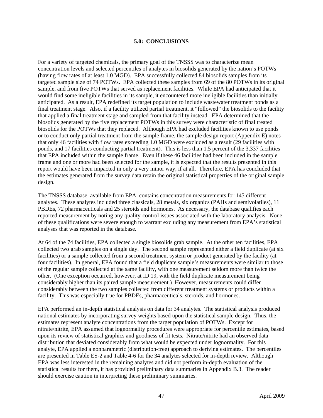#### **5.0: CONCLUSIONS**

<span id="page-56-0"></span>For a variety of targeted chemicals, the primary goal of the TNSSS was to characterize mean concentration levels and selected percentiles of analytes in biosolids generated by the nation's POTWs (having flow rates of at least 1.0 MGD). EPA successfully collected 84 biosolids samples from its targeted sample size of 74 POTWs. EPA collected these samples from 69 of the 80 POTWs in its original sample, and from five POTWs that served as replacement facilities. While EPA had anticipated that it would find some ineligible facilities in its sample, it encountered more ineligible facilities than initially anticipated. As a result, EPA redefined its target population to include wastewater treatment ponds as a final treatment stage. Also, if a facility utilized partial treatment, it "followed" the biosolids to the facility that applied a final treatment stage and sampled from that facility instead. EPA determined that the biosolids generated by the five replacement POTWs in this survey were characteristic of final treated biosolids for the POTWs that they replaced. Although EPA had excluded facilities known to use ponds or to conduct only partial treatment from the sample frame, the sample design report (Appendix E) notes that only 46 facilities with flow rates exceeding 1.0 MGD were excluded as a result (29 facilities with ponds, and 17 facilities conducting partial treatment). This is less than 1.5 percent of the 3,337 facilities that EPA included within the sample frame. Even if these 46 facilities had been included in the sample frame and one or more had been selected for the sample, it is expected that the results presented in this report would have been impacted in only a very minor way, if at all. Therefore, EPA has concluded that the estimates generated from the survey data retain the original statistical properties of the original sample design.

The TNSSS database, available from EPA, contains concentration measurements for 145 different analytes. These analytes included three classicals, 28 metals, six organics (PAHs and semivolatiles), 11 PBDEs, 72 pharmaceuticals and 25 steroids and hormones. As necessary, the database qualifies each reported measurement by noting any quality-control issues associated with the laboratory analysis. None of these qualifications were severe enough to warrant excluding any measurement from EPA's statistical analyses that was reported in the database.

At 64 of the 74 facilities, EPA collected a single biosolids grab sample. At the other ten facilities, EPA collected two grab samples on a single day. The second sample represented either a field duplicate (at six facilities) or a sample collected from a second treatment system or product generated by the facility (at four facilities). In general, EPA found that a field duplicate sample's measurements were similar to those of the regular sample collected at the same facility, with one measurement seldom more than twice the other. (One exception occurred, however, at ID 19, with the field duplicate measurement being considerably higher than its paired sample measurement.) However, measurements could differ considerably between the two samples collected from different treatment systems or products within a facility. This was especially true for PBDEs, pharmaceuticals, steroids, and hormones.

EPA performed an in-depth statistical analysis on data for 34 analytes. The statistical analysis produced national estimates by incorporating survey weights based upon the statistical sample design. Thus, the estimates represent analyte concentrations from the target population of POTWs. Except for nitrate/nitrite, EPA assumed that lognormality procedures were appropriate for percentile estimates, based upon its review of statistical graphics and goodness of fit tests. Nitrate/nitrite had an observed data distribution that deviated considerably from what would be expected under lognormality. For this analyte, EPA applied a nonparametric (distribution-free) approach to deriving estimates. The percentiles are presented in Table ES-2 and Table 4-6 for the 34 analytes selected for in-depth review. Although EPA was less interested in the remaining analytes and did not perform in-depth evaluation of the statistical results for them, it has provided preliminary data summaries in Appendix B.3. The reader should exercise caution in interpreting these preliminary summaries.